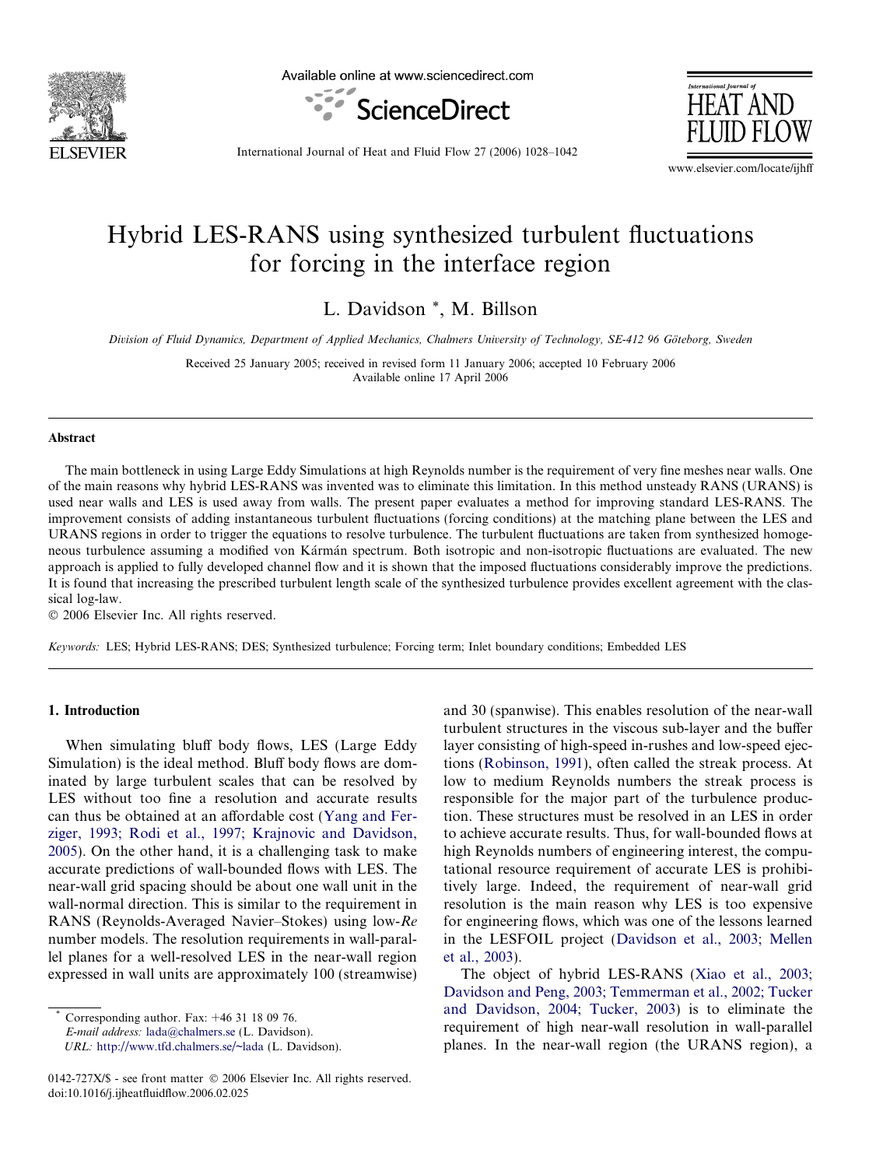

Available online at www.sciencedirect.com





International Journal of Heat and Fluid Flow 27 (2006) 1028–1042

www.elsevier.com/locate/ijhff

# Hybrid LES-RANS using synthesized turbulent fluctuations for forcing in the interface region

L. Davidson \*, M. Billson

Division of Fluid Dynamics, Department of Applied Mechanics, Chalmers University of Technology, SE-412 96 Göteborg, Sweden

Received 25 January 2005; received in revised form 11 January 2006; accepted 10 February 2006 Available online 17 April 2006

#### Abstract

The main bottleneck in using Large Eddy Simulations at high Reynolds number is the requirement of very fine meshes near walls. One of the main reasons why hybrid LES-RANS was invented was to eliminate this limitation. In this method unsteady RANS (URANS) is used near walls and LES is used away from walls. The present paper evaluates a method for improving standard LES-RANS. The improvement consists of adding instantaneous turbulent fluctuations (forcing conditions) at the matching plane between the LES and URANS regions in order to trigger the equations to resolve turbulence. The turbulent fluctuations are taken from synthesized homogeneous turbulence assuming a modified von Kármán spectrum. Both isotropic and non-isotropic fluctuations are evaluated. The new approach is applied to fully developed channel flow and it is shown that the imposed fluctuations considerably improve the predictions. It is found that increasing the prescribed turbulent length scale of the synthesized turbulence provides excellent agreement with the classical log-law.

© 2006 Elsevier Inc. All rights reserved.

Keywords: LES; Hybrid LES-RANS; DES; Synthesized turbulence; Forcing term; Inlet boundary conditions; Embedded LES

# 1. Introduction

When simulating bluff body flows, LES (Large Eddy Simulation) is the ideal method. Bluff body flows are dominated by large turbulent scales that can be resolved by LES without too fine a resolution and accurate results can thus be obtained at an affordable cost [\(Yang and Fer](#page-14-0)[ziger, 1993; Rodi et al., 1997; Krajnovic and Davidson,](#page-14-0) [2005\)](#page-14-0). On the other hand, it is a challenging task to make accurate predictions of wall-bounded flows with LES. The near-wall grid spacing should be about one wall unit in the wall-normal direction. This is similar to the requirement in RANS (Reynolds-Averaged Navier–Stokes) using low-Re number models. The resolution requirements in wall-parallel planes for a well-resolved LES in the near-wall region expressed in wall units are approximately 100 (streamwise)

E-mail address: [lada@chalmers.se](mailto:lada@chalmers.se) (L. Davidson).

URL: <http://www.tfd.chalmers.se/~lada> (L. Davidson).

and 30 (spanwise). This enables resolution of the near-wall turbulent structures in the viscous sub-layer and the buffer layer consisting of high-speed in-rushes and low-speed ejections [\(Robinson, 1991\)](#page-14-0), often called the streak process. At low to medium Reynolds numbers the streak process is responsible for the major part of the turbulence production. These structures must be resolved in an LES in order to achieve accurate results. Thus, for wall-bounded flows at high Reynolds numbers of engineering interest, the computational resource requirement of accurate LES is prohibitively large. Indeed, the requirement of near-wall grid resolution is the main reason why LES is too expensive for engineering flows, which was one of the lessons learned in the LESFOIL project [\(Davidson et al., 2003; Mellen](#page-14-0) [et al., 2003](#page-14-0)).

The object of hybrid LES-RANS [\(Xiao et al., 2003;](#page-14-0) [Davidson and Peng, 2003; Temmerman et al., 2002; Tucker](#page-14-0) [and Davidson, 2004; Tucker, 2003\)](#page-14-0) is to eliminate the requirement of high near-wall resolution in wall-parallel planes. In the near-wall region (the URANS region), a

Corresponding author. Fax:  $+46$  31 18 09 76.

<sup>0142-727</sup>X/\$ - see front matter © 2006 Elsevier Inc. All rights reserved. doi:10.1016/j.ijheatfluidflow.2006.02.025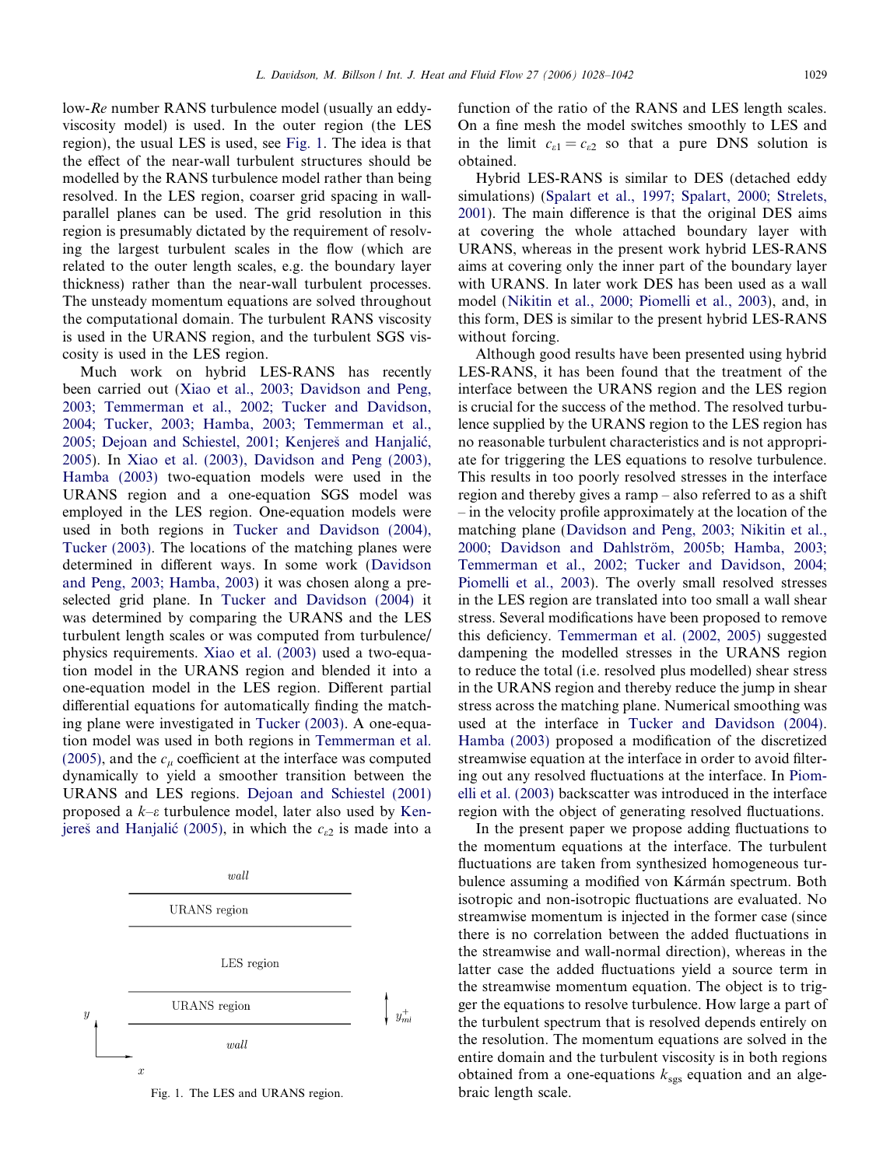<span id="page-1-0"></span>low-Re number RANS turbulence model (usually an eddyviscosity model) is used. In the outer region (the LES region), the usual LES is used, see Fig. 1. The idea is that the effect of the near-wall turbulent structures should be modelled by the RANS turbulence model rather than being resolved. In the LES region, coarser grid spacing in wallparallel planes can be used. The grid resolution in this region is presumably dictated by the requirement of resolving the largest turbulent scales in the flow (which are related to the outer length scales, e.g. the boundary layer thickness) rather than the near-wall turbulent processes. The unsteady momentum equations are solved throughout the computational domain. The turbulent RANS viscosity is used in the URANS region, and the turbulent SGS viscosity is used in the LES region.

Much work on hybrid LES-RANS has recently been carried out ([Xiao et al., 2003; Davidson and Peng,](#page-14-0) [2003; Temmerman et al., 2002; Tucker and Davidson,](#page-14-0) [2004; Tucker, 2003; Hamba, 2003; Temmerman et al.,](#page-14-0) 2005; Dejoan and Schiestel, 2001; Kenjereš and Hanjalić, [2005](#page-14-0)). In [Xiao et al. \(2003\), Davidson and Peng \(2003\),](#page-14-0) [Hamba \(2003\)](#page-14-0) two-equation models were used in the URANS region and a one-equation SGS model was employed in the LES region. One-equation models were used in both regions in [Tucker and Davidson \(2004\),](#page-14-0) [Tucker \(2003\).](#page-14-0) The locations of the matching planes were determined in different ways. In some work [\(Davidson](#page-14-0) [and Peng, 2003; Hamba, 2003\)](#page-14-0) it was chosen along a preselected grid plane. In [Tucker and Davidson \(2004\)](#page-14-0) it was determined by comparing the URANS and the LES turbulent length scales or was computed from turbulence/ physics requirements. [Xiao et al. \(2003\)](#page-14-0) used a two-equation model in the URANS region and blended it into a one-equation model in the LES region. Different partial differential equations for automatically finding the matching plane were investigated in [Tucker \(2003\)](#page-14-0). A one-equation model was used in both regions in [Temmerman et al.](#page-14-0) [\(2005\)](#page-14-0), and the  $c_{\mu}$  coefficient at the interface was computed dynamically to yield a smoother transition between the URANS and LES regions. [Dejoan and Schiestel \(2001\)](#page-14-0) proposed a  $k$ – $\varepsilon$  turbulence model, later also used by [Ken](#page-14-0)jereš and Hanjalić (2005), in which the  $c_{\epsilon 2}$  is made into a



Fig. 1. The LES and URANS region. braic length scale.

function of the ratio of the RANS and LES length scales. On a fine mesh the model switches smoothly to LES and in the limit  $c_{\epsilon 1} = c_{\epsilon 2}$  so that a pure DNS solution is obtained.

Hybrid LES-RANS is similar to DES (detached eddy simulations) [\(Spalart et al., 1997; Spalart, 2000; Strelets,](#page-14-0) [2001](#page-14-0)). The main difference is that the original DES aims at covering the whole attached boundary layer with URANS, whereas in the present work hybrid LES-RANS aims at covering only the inner part of the boundary layer with URANS. In later work DES has been used as a wall model [\(Nikitin et al., 2000; Piomelli et al., 2003\)](#page-14-0), and, in this form, DES is similar to the present hybrid LES-RANS without forcing.

Although good results have been presented using hybrid LES-RANS, it has been found that the treatment of the interface between the URANS region and the LES region is crucial for the success of the method. The resolved turbulence supplied by the URANS region to the LES region has no reasonable turbulent characteristics and is not appropriate for triggering the LES equations to resolve turbulence. This results in too poorly resolved stresses in the interface region and thereby gives a ramp – also referred to as a shift – in the velocity profile approximately at the location of the matching plane [\(Davidson and Peng, 2003; Nikitin et al.,](#page-14-0) 2000; Davidson and Dahlström, 2005b; Hamba, 2003; [Temmerman et al., 2002; Tucker and Davidson, 2004;](#page-14-0) [Piomelli et al., 2003](#page-14-0)). The overly small resolved stresses in the LES region are translated into too small a wall shear stress. Several modifications have been proposed to remove this deficiency. [Temmerman et al. \(2002, 2005\)](#page-14-0) suggested dampening the modelled stresses in the URANS region to reduce the total (i.e. resolved plus modelled) shear stress in the URANS region and thereby reduce the jump in shear stress across the matching plane. Numerical smoothing was used at the interface in [Tucker and Davidson \(2004\).](#page-14-0) [Hamba \(2003\)](#page-14-0) proposed a modification of the discretized streamwise equation at the interface in order to avoid filtering out any resolved fluctuations at the interface. In [Piom](#page-14-0)[elli et al. \(2003\)](#page-14-0) backscatter was introduced in the interface region with the object of generating resolved fluctuations.

In the present paper we propose adding fluctuations to the momentum equations at the interface. The turbulent fluctuations are taken from synthesized homogeneous turbulence assuming a modified von Kármán spectrum. Both isotropic and non-isotropic fluctuations are evaluated. No streamwise momentum is injected in the former case (since there is no correlation between the added fluctuations in the streamwise and wall-normal direction), whereas in the latter case the added fluctuations yield a source term in the streamwise momentum equation. The object is to trigger the equations to resolve turbulence. How large a part of the turbulent spectrum that is resolved depends entirely on the resolution. The momentum equations are solved in the entire domain and the turbulent viscosity is in both regions obtained from a one-equations  $k_{sgs}$  equation and an alge-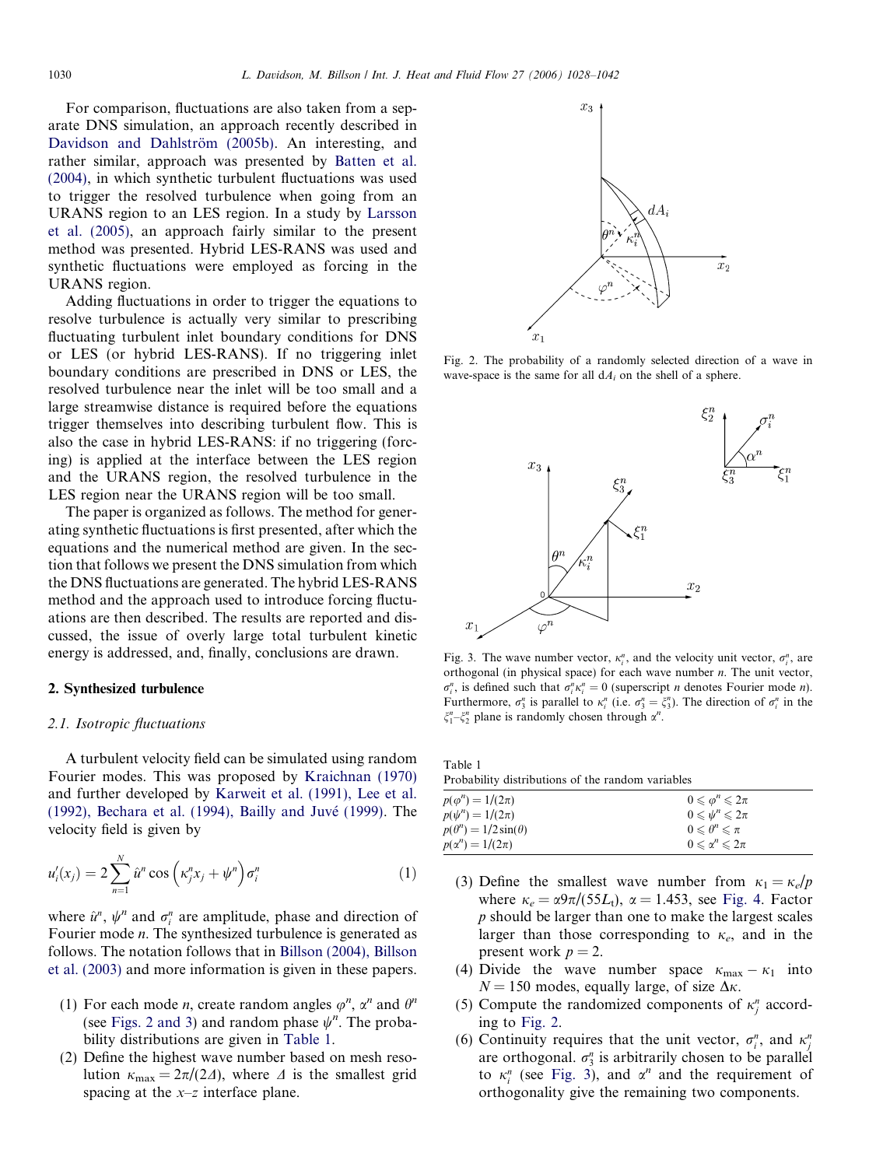<span id="page-2-0"></span>For comparison, fluctuations are also taken from a separate DNS simulation, an approach recently described in Davidson and Dahlström (2005b). An interesting, and rather similar, approach was presented by [Batten et al.](#page-14-0) [\(2004\)](#page-14-0), in which synthetic turbulent fluctuations was used to trigger the resolved turbulence when going from an URANS region to an LES region. In a study by [Larsson](#page-14-0) [et al. \(2005\)](#page-14-0), an approach fairly similar to the present method was presented. Hybrid LES-RANS was used and synthetic fluctuations were employed as forcing in the URANS region.

Adding fluctuations in order to trigger the equations to resolve turbulence is actually very similar to prescribing fluctuating turbulent inlet boundary conditions for DNS or LES (or hybrid LES-RANS). If no triggering inlet boundary conditions are prescribed in DNS or LES, the resolved turbulence near the inlet will be too small and a large streamwise distance is required before the equations trigger themselves into describing turbulent flow. This is also the case in hybrid LES-RANS: if no triggering (forcing) is applied at the interface between the LES region and the URANS region, the resolved turbulence in the LES region near the URANS region will be too small.

The paper is organized as follows. The method for generating synthetic fluctuations is first presented, after which the equations and the numerical method are given. In the section that follows we present the DNS simulation from which the DNS fluctuations are generated. The hybrid LES-RANS method and the approach used to introduce forcing fluctuations are then described. The results are reported and discussed, the issue of overly large total turbulent kinetic energy is addressed, and, finally, conclusions are drawn.

# 2. Synthesized turbulence

# 2.1. Isotropic fluctuations

A turbulent velocity field can be simulated using random Fourier modes. This was proposed by [Kraichnan \(1970\)](#page-14-0) and further developed by [Karweit et al. \(1991\), Lee et al.](#page-14-0) (1992), Bechara et al. (1994), Bailly and Juvé (1999). The velocity field is given by

$$
u'_i(x_j) = 2\sum_{n=1}^N \hat{u}^n \cos\left(\kappa_j^n x_j + \psi^n\right) \sigma_i^n \tag{1}
$$

where  $\hat{u}^n$ ,  $\psi^n$  and  $\sigma_i^n$  are amplitude, phase and direction of Fourier mode *n*. The synthesized turbulence is generated as follows. The notation follows that in [Billson \(2004\), Billson](#page-14-0) [et al. \(2003\)](#page-14-0) and more information is given in these papers.

- (1) For each mode *n*, create random angles  $\varphi^n$ ,  $\alpha^n$  and  $\theta^n$ (see Figs. 2 and 3) and random phase  $\psi^n$ . The probability distributions are given in Table 1.
- (2) Define the highest wave number based on mesh resolution  $\kappa_{\text{max}} = 2\pi/(2\Delta)$ , where  $\Delta$  is the smallest grid spacing at the  $x-z$  interface plane.



Fig. 2. The probability of a randomly selected direction of a wave in wave-space is the same for all  $dA_i$  on the shell of a sphere.



Fig. 3. The wave number vector,  $\kappa_i^n$ , and the velocity unit vector,  $\sigma_i^n$ , are orthogonal (in physical space) for each wave number  $n$ . The unit vector,  $\sigma_i^n$ , is defined such that  $\sigma_i^n \kappa_i^n = 0$  (superscript *n* denotes Fourier mode *n*). Furthermore,  $\sigma_3^n$  is parallel to  $\kappa_i^n$  (i.e.  $\sigma_3^n = \xi_3^n$ ). The direction of  $\sigma_i^n$  in the  $\xi_1^n - \xi_2^n$  plane is randomly chosen through  $\alpha^n$ .

Table 1 Probability distributions of the random variables

| $p(\varphi^n) = 1/(2\pi)$       | $0\leqslant \varphi^n\leqslant 2\pi$ |
|---------------------------------|--------------------------------------|
| $p(\psi^n) = 1/(2\pi)$          | $0 \leqslant \psi^n \leqslant 2\pi$  |
| $p(\theta^n) = 1/2\sin(\theta)$ | $0 \leq \theta^n \leq \pi$           |
| $p(\alpha^n) = 1/(2\pi)$        | $0 \leq \alpha^n \leq 2\pi$          |

- (3) Define the smallest wave number from  $\kappa_1 = \kappa_e/p$ where  $\kappa_e = \alpha 9\pi/(55L_t)$ ,  $\alpha = 1.453$ , see [Fig. 4](#page-3-0). Factor p should be larger than one to make the largest scales larger than those corresponding to  $\kappa_e$ , and in the present work  $p = 2$ .
- (4) Divide the wave number space  $\kappa_{\text{max}} \kappa_1$  into  $N = 150$  modes, equally large, of size  $\Delta \kappa$ .
- (5) Compute the randomized components of  $\kappa_j^n$  according to Fig. 2.
- (6) Continuity requires that the unit vector,  $\sigma_i^n$ , and  $\kappa_j^n$ are orthogonal.  $\sigma_3^n$  is arbitrarily chosen to be parallel to  $\kappa_i^n$  (see Fig. 3), and  $\alpha^n$  and the requirement of orthogonality give the remaining two components.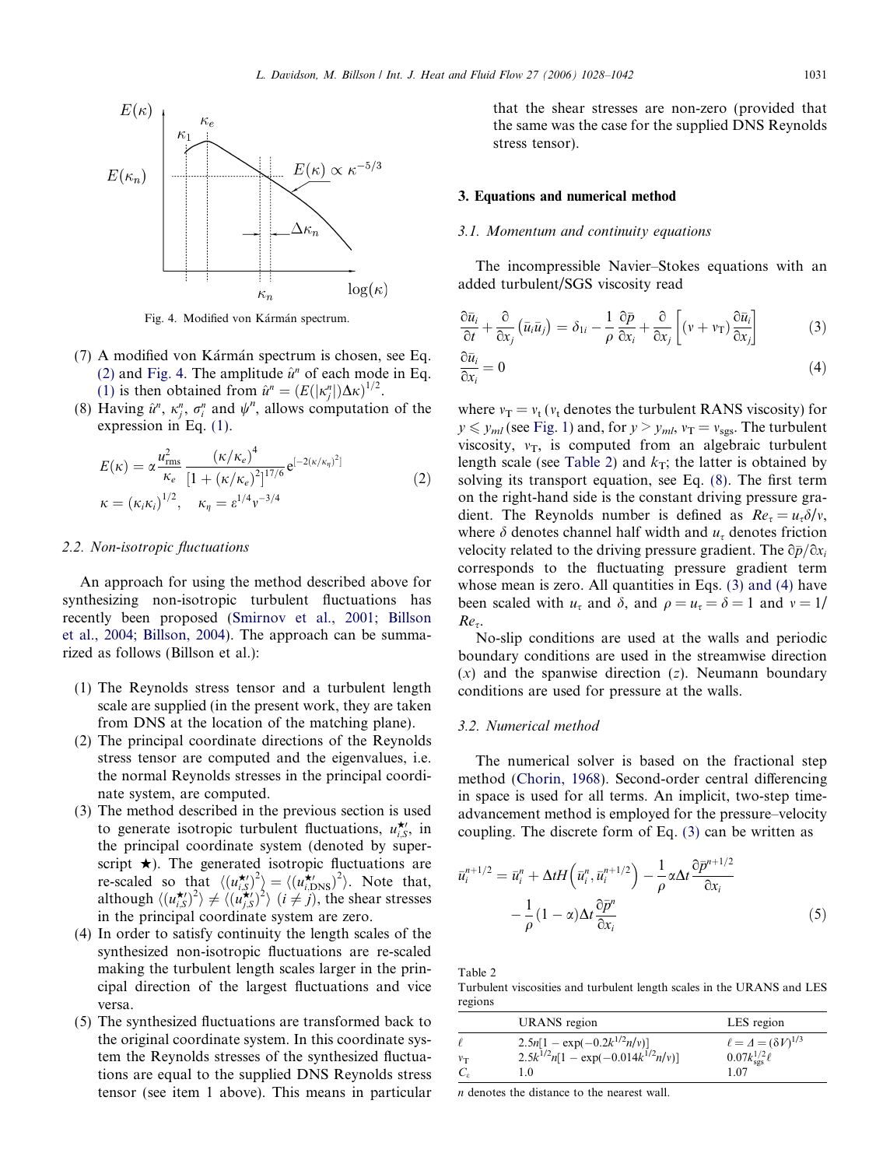<span id="page-3-0"></span>

Fig. 4. Modified von Kármán spectrum.

- $(7)$  A modified von Kármán spectrum is chosen, see Eq. (2) and Fig. 4. The amplitude  $\hat{u}^n$  of each mode in Eq. [\(1\)](#page-2-0) is then obtained from  $\hat{u}^n = (E(|\kappa_j^n|)\Delta \kappa)^{1/2}$ .
- (8) Having  $\hat{u}^n$ ,  $\kappa_j^n$ ,  $\sigma_i^n$  and  $\psi^n$ , allows computation of the expression in Eq. [\(1\).](#page-2-0)

$$
E(\kappa) = \alpha \frac{u_{\text{rms}}^2}{\kappa_e} \frac{(\kappa/\kappa_e)^4}{[1 + (\kappa/\kappa_e)^2]^{17/6}} e^{[-2(\kappa/\kappa_\eta)^2]}
$$
  

$$
\kappa = (\kappa_i \kappa_i)^{1/2}, \quad \kappa_\eta = \varepsilon^{1/4} v^{-3/4}
$$
 (2)

#### 2.2. Non-isotropic fluctuations

An approach for using the method described above for synthesizing non-isotropic turbulent fluctuations has recently been proposed [\(Smirnov et al., 2001; Billson](#page-14-0) [et al., 2004; Billson, 2004](#page-14-0)). The approach can be summarized as follows (Billson et al.):

- (1) The Reynolds stress tensor and a turbulent length scale are supplied (in the present work, they are taken from DNS at the location of the matching plane).
- (2) The principal coordinate directions of the Reynolds stress tensor are computed and the eigenvalues, i.e. the normal Reynolds stresses in the principal coordinate system, are computed.
- (3) The method described in the previous section is used to generate isotropic turbulent fluctuations,  $u_{i,S}^{\star}$ , in the principal coordinate system (denoted by superscript  $\star$ ). The generated isotropic fluctuations are re-scaled so that  $\langle (u_{i,S}^{\star})^2 \rangle = \langle (u_{i,DNS}^{\overline{\star}})^2 \rangle$ . Note that, although  $\langle (u_{i,S}^{\star})^2 \rangle \neq \langle (u_{j,S}^{\star})^2 \rangle$   $(i \neq j)$ , the shear stresses in the principal coordinate system are zero.
- (4) In order to satisfy continuity the length scales of the synthesized non-isotropic fluctuations are re-scaled making the turbulent length scales larger in the principal direction of the largest fluctuations and vice versa.
- (5) The synthesized fluctuations are transformed back to the original coordinate system. In this coordinate system the Reynolds stresses of the synthesized fluctuations are equal to the supplied DNS Reynolds stress tensor (see item 1 above). This means in particular

that the shear stresses are non-zero (provided that the same was the case for the supplied DNS Reynolds stress tensor).

## 3. Equations and numerical method

## 3.1. Momentum and continuity equations

The incompressible Navier–Stokes equations with an added turbulent/SGS viscosity read

$$
\frac{\partial \bar{u}_i}{\partial t} + \frac{\partial}{\partial x_j} (\bar{u}_i \bar{u}_j) = \delta_{1i} - \frac{1}{\rho} \frac{\partial \bar{p}}{\partial x_i} + \frac{\partial}{\partial x_j} \left[ (v + v_T) \frac{\partial \bar{u}_i}{\partial x_j} \right] \tag{3}
$$

$$
\frac{\partial \bar{u}_i}{\partial x_i} = 0 \tag{4}
$$

where  $v_T = v_t$  ( $v_t$  denotes the turbulent RANS viscosity) for  $y \le y_{ml}$  (see [Fig. 1\)](#page-1-0) and, for  $y > y_{ml}$ ,  $v_T = v_{sgs}$ . The turbulent viscosity,  $v_T$ , is computed from an algebraic turbulent length scale (see Table 2) and  $k<sub>T</sub>$ ; the latter is obtained by solving its transport equation, see Eq. [\(8\).](#page-4-0) The first term on the right-hand side is the constant driving pressure gradient. The Reynolds number is defined as  $Re<sub>\tau</sub> = u<sub>\tau</sub> \delta/v$ , where  $\delta$  denotes channel half width and  $u_{\tau}$  denotes friction velocity related to the driving pressure gradient. The  $\frac{\partial \bar{p}}{\partial x_i}$ corresponds to the fluctuating pressure gradient term whose mean is zero. All quantities in Eqs. (3) and (4) have been scaled with  $u_{\tau}$  and  $\delta$ , and  $\rho = u_{\tau} = \delta = 1$  and  $v = 1/$  $Re<sub>\tau</sub>$ .

No-slip conditions are used at the walls and periodic boundary conditions are used in the streamwise direction  $(x)$  and the spanwise direction  $(z)$ . Neumann boundary conditions are used for pressure at the walls.

# 3.2. Numerical method

The numerical solver is based on the fractional step method [\(Chorin, 1968](#page-14-0)). Second-order central differencing in space is used for all terms. An implicit, two-step timeadvancement method is employed for the pressure–velocity coupling. The discrete form of Eq. (3) can be written as

$$
\bar{u}_i^{n+1/2} = \bar{u}_i^n + \Delta t H \left( \bar{u}_i^n, \bar{u}_i^{n+1/2} \right) - \frac{1}{\rho} \alpha \Delta t \frac{\partial \bar{p}^{n+1/2}}{\partial x_i} \n- \frac{1}{\rho} (1 - \alpha) \Delta t \frac{\partial \bar{p}^n}{\partial x_i}
$$
\n(5)

Table 2

Turbulent viscosities and turbulent length scales in the URANS and LES regions

|       | URANS region                                                                    | LES region                              |
|-------|---------------------------------------------------------------------------------|-----------------------------------------|
| ł.    | 2.5n[1 – exp(-0.2 $k^{1/2}n/v$ )]<br>2.5 $k^{1/2}n[1 - \exp(-0.014k^{1/2}n/v)]$ | $\ell = \Delta = (\delta V)^{1/3}$      |
| $v_T$ |                                                                                 | $0.07k_{sgs}^{1/2}$<br>$\ell$<br>$1.07$ |
|       | 0.1                                                                             |                                         |

n denotes the distance to the nearest wall.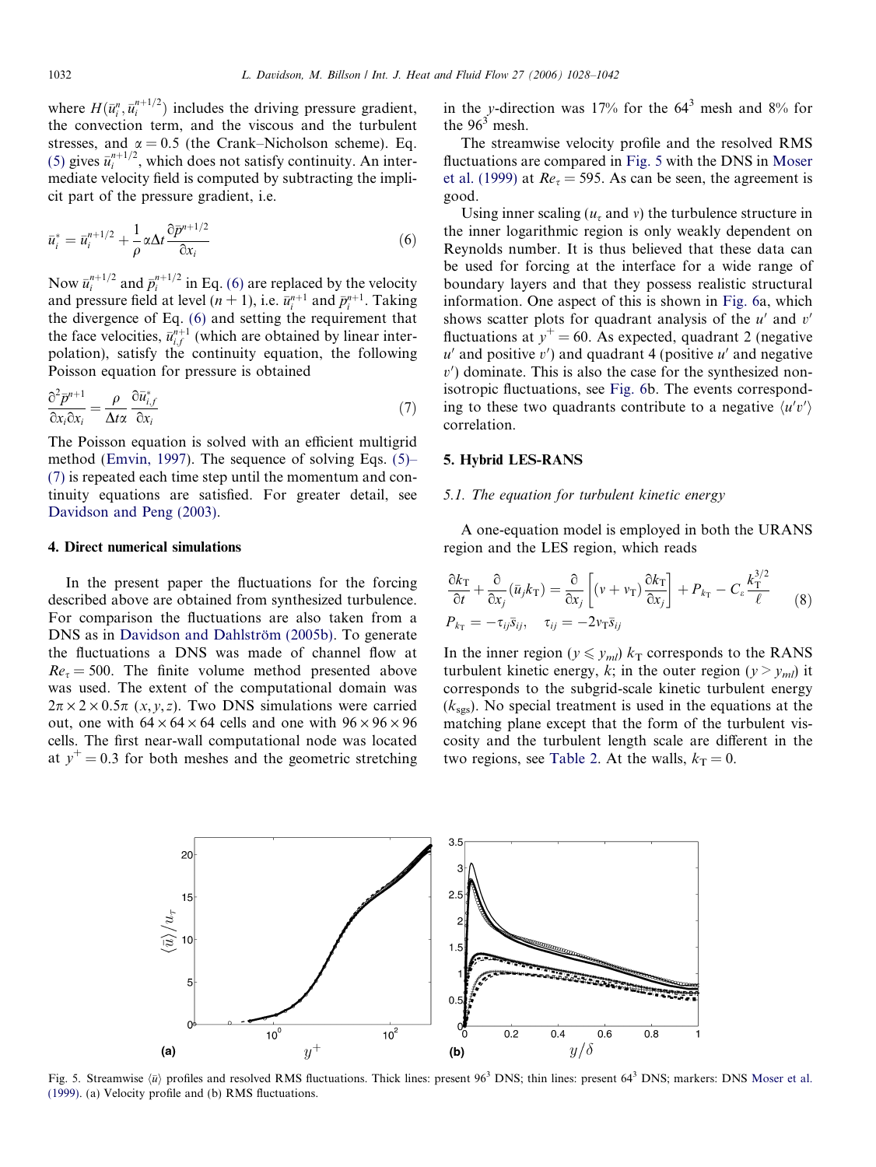<span id="page-4-0"></span>where  $H(\bar{u}_i^n, \bar{u}_i^{n+1/2})$  includes the driving pressure gradient, the convection term, and the viscous and the turbulent stresses, and  $\alpha = 0.5$  (the Crank–Nicholson scheme). Eq. [\(5\)](#page-3-0) gives  $\bar{u}_i^{n+1/2}$ , which does not satisfy continuity. An intermediate velocity field is computed by subtracting the implicit part of the pressure gradient, i.e.

$$
\bar{u}_i^* = \bar{u}_i^{n+1/2} + \frac{1}{\rho} \alpha \Delta t \frac{\partial \bar{p}^{n+1/2}}{\partial x_i}
$$
 (6)

Now  $\bar{u}_i^{n+1/2}$  and  $\bar{p}_i^{n+1/2}$  in Eq. (6) are replaced by the velocity and pressure field at level  $(n + 1)$ , i.e.  $\bar{u}_i^{n+1}$  and  $\bar{p}_i^{n+1}$ . Taking the divergence of Eq. (6) and setting the requirement that the face velocities,  $\bar{u}_{i,f}^{n+1}$  (which are obtained by linear interpolation), satisfy the continuity equation, the following Poisson equation for pressure is obtained

$$
\frac{\partial^2 \bar{p}^{n+1}}{\partial x_i \partial x_i} = \frac{\rho}{\Delta t \alpha} \frac{\partial \bar{u}_{i,f}^*}{\partial x_i}
$$
(7)

The Poisson equation is solved with an efficient multigrid method [\(Emvin, 1997\)](#page-14-0). The sequence of solving Eqs. [\(5\)–](#page-3-0) [\(7\)](#page-3-0) is repeated each time step until the momentum and continuity equations are satisfied. For greater detail, see [Davidson and Peng \(2003\)](#page-14-0).

## 4. Direct numerical simulations

In the present paper the fluctuations for the forcing described above are obtained from synthesized turbulence. For comparison the fluctuations are also taken from a DNS as in Davidson and Dahlström (2005b). To generate the fluctuations a DNS was made of channel flow at  $Re<sub>z</sub> = 500$ . The finite volume method presented above was used. The extent of the computational domain was  $2\pi \times 2 \times 0.5\pi$  (x, y, z). Two DNS simulations were carried out, one with  $64 \times 64 \times 64$  cells and one with  $96 \times 96 \times 96$ cells. The first near-wall computational node was located at  $y^+=0.3$  for both meshes and the geometric stretching in the y-direction was  $17\%$  for the  $64^3$  mesh and  $8\%$  for the  $96<sup>3</sup>$  mesh.

The streamwise velocity profile and the resolved RMS fluctuations are compared in Fig. 5 with the DNS in [Moser](#page-14-0) [et al. \(1999\)](#page-14-0) at  $Re<sub>\tau</sub> = 595$ . As can be seen, the agreement is good.

Using inner scaling ( $u<sub>\tau</sub>$  and v) the turbulence structure in the inner logarithmic region is only weakly dependent on Reynolds number. It is thus believed that these data can be used for forcing at the interface for a wide range of boundary layers and that they possess realistic structural information. One aspect of this is shown in [Fig. 6a](#page-5-0), which shows scatter plots for quadrant analysis of the  $u'$  and  $v'$ fluctuations at  $y^+=60$ . As expected, quadrant 2 (negative  $u'$  and positive  $v'$ ) and quadrant 4 (positive  $u'$  and negative  $v'$ ) dominate. This is also the case for the synthesized nonisotropic fluctuations, see [Fig. 6](#page-5-0)b. The events corresponding to these two quadrants contribute to a negative  $\langle u'v' \rangle$ correlation.

## 5. Hybrid LES-RANS

# 5.1. The equation for turbulent kinetic energy

A one-equation model is employed in both the URANS region and the LES region, which reads

$$
\frac{\partial k_{\rm T}}{\partial t} + \frac{\partial}{\partial x_j} (\bar{u}_j k_{\rm T}) = \frac{\partial}{\partial x_j} \left[ (v + v_{\rm T}) \frac{\partial k_{\rm T}}{\partial x_j} \right] + P_{k_{\rm T}} - C_{\varepsilon} \frac{k_{\rm T}^{3/2}}{\ell} \tag{8}
$$
  

$$
P_{k_{\rm T}} = -\tau_{ij} \bar{s}_{ij}, \quad \tau_{ij} = -2v_{\rm T} \bar{s}_{ij}
$$

In the inner region ( $y \le y_{ml}$ )  $k_T$  corresponds to the RANS turbulent kinetic energy, k; in the outer region  $(y > y<sub>ml</sub>)$  it corresponds to the subgrid-scale kinetic turbulent energy  $(k_{sss})$ . No special treatment is used in the equations at the matching plane except that the form of the turbulent viscosity and the turbulent length scale are different in the two regions, see [Table 2](#page-3-0). At the walls,  $k_T = 0$ .



Fig. 5. Streamwise  $\langle \bar{u} \rangle$  profiles and resolved RMS fluctuations. Thick lines: present 96<sup>3</sup> DNS; thin lines: present 64<sup>3</sup> DNS; markers: DNS [Moser et al.](#page-14-0) [\(1999\).](#page-14-0) (a) Velocity profile and (b) RMS fluctuations.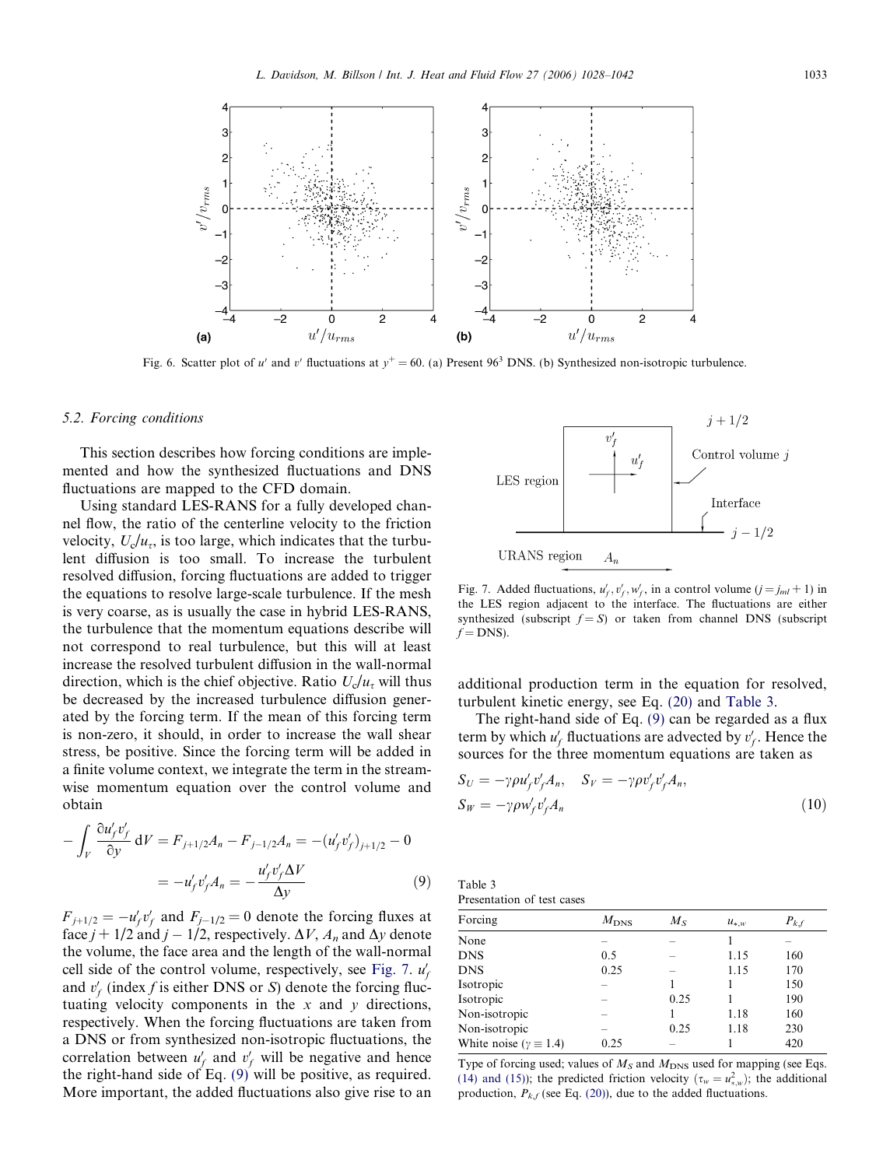<span id="page-5-0"></span>

Fig. 6. Scatter plot of u' and v' fluctuations at  $y^+= 60$ . (a) Present 96<sup>3</sup> DNS. (b) Synthesized non-isotropic turbulence.

#### 5.2. Forcing conditions

This section describes how forcing conditions are implemented and how the synthesized fluctuations and DNS fluctuations are mapped to the CFD domain.

Using standard LES-RANS for a fully developed channel flow, the ratio of the centerline velocity to the friction velocity,  $U_c/u_\tau$ , is too large, which indicates that the turbulent diffusion is too small. To increase the turbulent resolved diffusion, forcing fluctuations are added to trigger the equations to resolve large-scale turbulence. If the mesh is very coarse, as is usually the case in hybrid LES-RANS, the turbulence that the momentum equations describe will not correspond to real turbulence, but this will at least increase the resolved turbulent diffusion in the wall-normal direction, which is the chief objective. Ratio  $U_c/u_\tau$  will thus be decreased by the increased turbulence diffusion generated by the forcing term. If the mean of this forcing term is non-zero, it should, in order to increase the wall shear stress, be positive. Since the forcing term will be added in a finite volume context, we integrate the term in the streamwise momentum equation over the control volume and obtain

$$
-\int_{V} \frac{\partial u'_{f} v'_{f}}{\partial y} dV = F_{j+1/2} A_{n} - F_{j-1/2} A_{n} = -(u'_{f} v'_{f})_{j+1/2} - 0
$$

$$
= -u'_{f} v'_{f} A_{n} = -\frac{u'_{f} v'_{f} \Delta V}{\Delta y}
$$
(9)

 $F_{j+1/2} = -u_f'v_f'$  and  $F_{j-1/2} = 0$  denote the forcing fluxes at face  $j + 1/2$  and  $j - 1/2$ , respectively.  $\Delta V$ ,  $A_n$  and  $\Delta y$  denote the volume, the face area and the length of the wall-normal cell side of the control volume, respectively, see Fig. 7.  $u'_f$ and  $v'_f$  (index f is either DNS or S) denote the forcing fluctuating velocity components in the  $x$  and  $y$  directions, respectively. When the forcing fluctuations are taken from a DNS or from synthesized non-isotropic fluctuations, the correlation between  $u'_f$  and  $v'_f$  will be negative and hence the right-hand side of Eq. (9) will be positive, as required. More important, the added fluctuations also give rise to an



Fig. 7. Added fluctuations,  $u'_f, v'_f, w'_f$ , in a control volume  $(j = j_{ml} + 1)$  in the LES region adjacent to the interface. The fluctuations are either synthesized (subscript  $f = S$ ) or taken from channel DNS (subscript  $f = DNS$ ).

additional production term in the equation for resolved, turbulent kinetic energy, see Eq. [\(20\)](#page-10-0) and Table 3.

The right-hand side of Eq. (9) can be regarded as a flux term by which  $u'_f$  fluctuations are advected by  $v'_f$ . Hence the sources for the three momentum equations are taken as

$$
S_U = -\gamma \rho u'_f v'_f A_n, \quad S_V = -\gamma \rho v'_f v'_f A_n,
$$
  
\n
$$
S_W = -\gamma \rho w'_f v'_f A_n
$$
\n(10)

| Table 3                    |  |  |
|----------------------------|--|--|
| Presentation of test cases |  |  |

| Forcing                             | $M_{\rm DNS}$ | $M_{S}$ | $u_{*,w}$ | $P_{k,f}$ |
|-------------------------------------|---------------|---------|-----------|-----------|
| None                                |               |         |           |           |
| <b>DNS</b>                          | 0.5           |         | 1.15      | 160       |
| <b>DNS</b>                          | 0.25          |         | 1.15      | 170       |
| Isotropic                           | -             |         |           | 150       |
| Isotropic                           |               | 0.25    |           | 190       |
| Non-isotropic                       |               |         | 1.18      | 160       |
| Non-isotropic                       | -             | 0.25    | 1.18      | 230       |
| White noise ( $\gamma \equiv 1.4$ ) | 0.25          |         |           | 420       |

Type of forcing used; values of  $M<sub>S</sub>$  and  $M<sub>DNS</sub>$  used for mapping (see Eqs. [\(14\) and \(15\)](#page-6-0)); the predicted friction velocity ( $\tau_w = u_{*,w}^2$ ); the additional production,  $P_{k,f}$  (see Eq. [\(20\)\)](#page-10-0), due to the added fluctuations.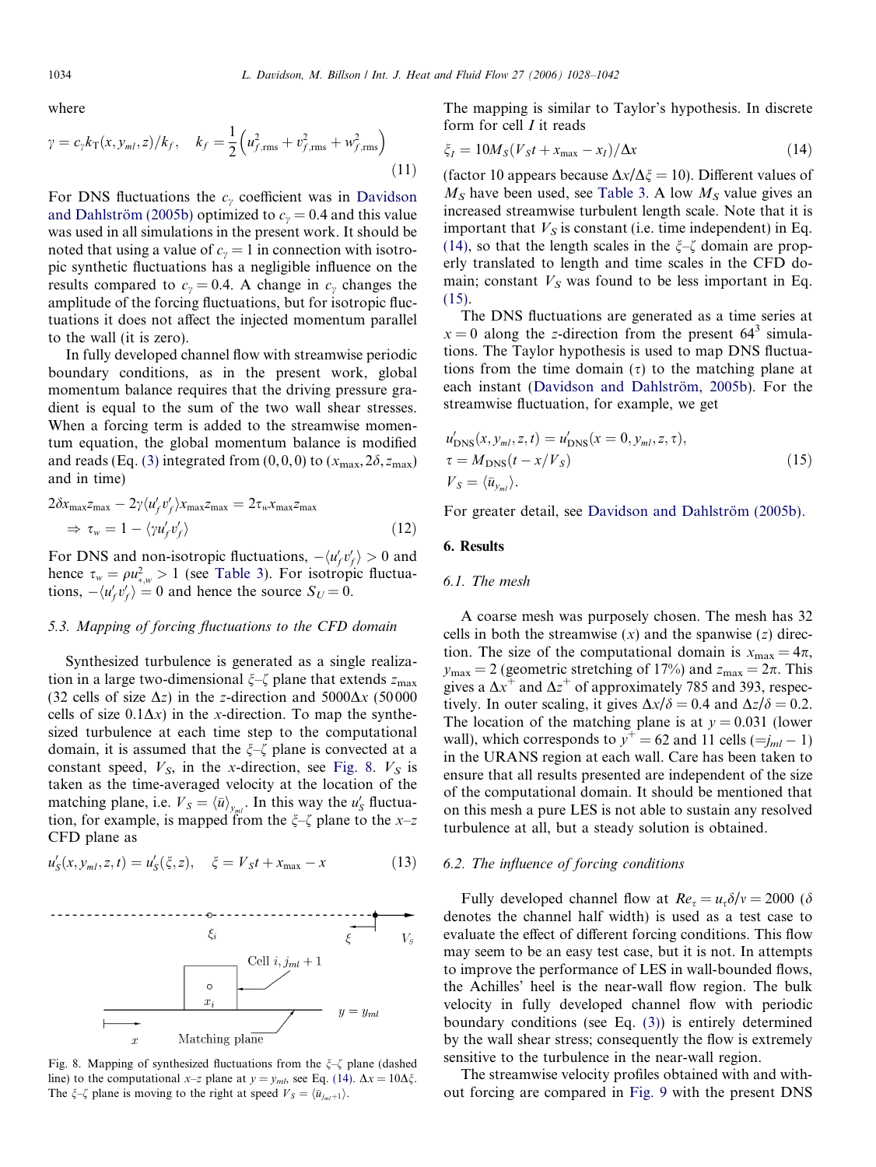<span id="page-6-0"></span>where

$$
\gamma = c_{\gamma} k_{\rm T}(x, y_{ml}, z) / k_{f}, \quad k_{f} = \frac{1}{2} \left( u_{f, \text{rms}}^{2} + v_{f, \text{rms}}^{2} + w_{f, \text{rms}}^{2} \right)
$$
\n(11)

For DNS fluctuations the  $c<sub>y</sub>$  coefficient was in [Davidson](#page-14-0) and Dahlström (2005b) optimized to  $c<sub>v</sub> = 0.4$  and this value was used in all simulations in the present work. It should be noted that using a value of  $c<sub>v</sub> = 1$  in connection with isotropic synthetic fluctuations has a negligible influence on the results compared to  $c<sub>y</sub> = 0.4$ . A change in  $c<sub>y</sub>$  changes the amplitude of the forcing fluctuations, but for isotropic fluctuations it does not affect the injected momentum parallel to the wall (it is zero).

In fully developed channel flow with streamwise periodic boundary conditions, as in the present work, global momentum balance requires that the driving pressure gradient is equal to the sum of the two wall shear stresses. When a forcing term is added to the streamwise momentum equation, the global momentum balance is modified and reads (Eq. [\(3\)](#page-3-0) integrated from  $(0, 0, 0)$  to  $(x_{\text{max}}, 2\delta, z_{\text{max}})$ and in time)

$$
2\delta x_{\max} z_{\max} - 2\gamma \langle u'_f v'_f \rangle x_{\max} z_{\max} = 2\tau_w x_{\max} z_{\max}
$$
  
\n
$$
\Rightarrow \tau_w = 1 - \langle \gamma u'_f v'_f \rangle
$$
\n(12)

For DNS and non-isotropic fluctuations,  $-\langle u'_f v'_f \rangle > 0$  and hence  $\tau_w = \rho u_{*,w}^2 > 1$  (see [Table 3](#page-5-0)). For isotropic fluctuations,  $-\langle u'_f v'_f \rangle = 0$  and hence the source  $S_U = 0$ .

# 5.3. Mapping of forcing fluctuations to the CFD domain

Synthesized turbulence is generated as a single realization in a large two-dimensional  $\xi-\zeta$  plane that extends  $z_{\text{max}}$ (32 cells of size  $\Delta z$ ) in the z-direction and 5000 $\Delta x$  (50000 cells of size  $0.1\Delta x$  in the x-direction. To map the synthesized turbulence at each time step to the computational domain, it is assumed that the  $\xi-\zeta$  plane is convected at a constant speed,  $V_s$ , in the x-direction, see Fig. 8.  $V_s$  is taken as the time-averaged velocity at the location of the matching plane, i.e.  $V_s = \langle \bar{u} \rangle_{y_{ml}}$ . In this way the  $u'_s$  fluctuation, for example, is mapped from the  $\xi-\zeta$  plane to the x–z CFD plane as

$$
u'_{S}(x, y_{ml}, z, t) = u'_{S}(\xi, z), \quad \xi = V_{S}t + x_{\text{max}} - x \tag{13}
$$



Fig. 8. Mapping of synthesized fluctuations from the  $\xi-\zeta$  plane (dashed line) to the computational x–z plane at  $y = y_{ml}$ , see Eq. (14).  $\Delta x = 10\Delta \xi$ . The  $\zeta - \zeta$  plane is moving to the right at speed  $V_s = \langle \bar{u}_{j_{ml}+1} \rangle$ .

The mapping is similar to Taylor's hypothesis. In discrete form for cell  $I$  it reads

$$
\zeta_I = 10M_S(V_S t + x_{\text{max}} - x_I)/\Delta x \tag{14}
$$

(factor 10 appears because  $\Delta x/\Delta \zeta = 10$ ). Different values of  $M<sub>S</sub>$  have been used, see [Table 3](#page-5-0). A low  $M<sub>S</sub>$  value gives an increased streamwise turbulent length scale. Note that it is important that  $V<sub>S</sub>$  is constant (i.e. time independent) in Eq. (14), so that the length scales in the  $\xi-\zeta$  domain are properly translated to length and time scales in the CFD domain; constant  $V<sub>S</sub>$  was found to be less important in Eq. (15).

The DNS fluctuations are generated as a time series at  $x = 0$  along the z-direction from the present 64<sup>3</sup> simulations. The Taylor hypothesis is used to map DNS fluctuations from the time domain  $(\tau)$  to the matching plane at each instant (Davidson and Dahlström, 2005b). For the streamwise fluctuation, for example, we get

$$
u'_{\text{DNS}}(x, y_{ml}, z, t) = u'_{\text{DNS}}(x = 0, y_{ml}, z, \tau),
$$
  
\n
$$
\tau = M_{\text{DNS}}(t - x/V_s)
$$
  
\n
$$
V_s = \langle \bar{u}_{y_{ml}} \rangle.
$$
\n(15)

For greater detail, see Davidson and Dahlström (2005b).

# 6. Results

# 6.1. The mesh

A coarse mesh was purposely chosen. The mesh has 32 cells in both the streamwise  $(x)$  and the spanwise  $(z)$  direction. The size of the computational domain is  $x_{\text{max}} = 4\pi$ ,  $y_{\text{max}} = 2$  (geometric stretching of 17%) and  $z_{\text{max}} = 2\pi$ . This gives a  $\Delta x^+$  and  $\Delta z^+$  of approximately 785 and 393, respectively. In outer scaling, it gives  $\Delta x/\delta = 0.4$  and  $\Delta z/\delta = 0.2$ . The location of the matching plane is at  $y = 0.031$  (lower wall), which corresponds to  $y^+=62$  and 11 cells  $(=j<sub>ml</sub> - 1)$ in the URANS region at each wall. Care has been taken to ensure that all results presented are independent of the size of the computational domain. It should be mentioned that on this mesh a pure LES is not able to sustain any resolved turbulence at all, but a steady solution is obtained.

## 6.2. The influence of forcing conditions

Fully developed channel flow at  $Re_\tau = u_\tau \delta/v = 2000$  ( $\delta$ ) denotes the channel half width) is used as a test case to evaluate the effect of different forcing conditions. This flow may seem to be an easy test case, but it is not. In attempts to improve the performance of LES in wall-bounded flows, the Achilles' heel is the near-wall flow region. The bulk velocity in fully developed channel flow with periodic boundary conditions (see Eq. [\(3\)](#page-3-0)) is entirely determined by the wall shear stress; consequently the flow is extremely sensitive to the turbulence in the near-wall region.

The streamwise velocity profiles obtained with and without forcing are compared in [Fig. 9](#page-7-0) with the present DNS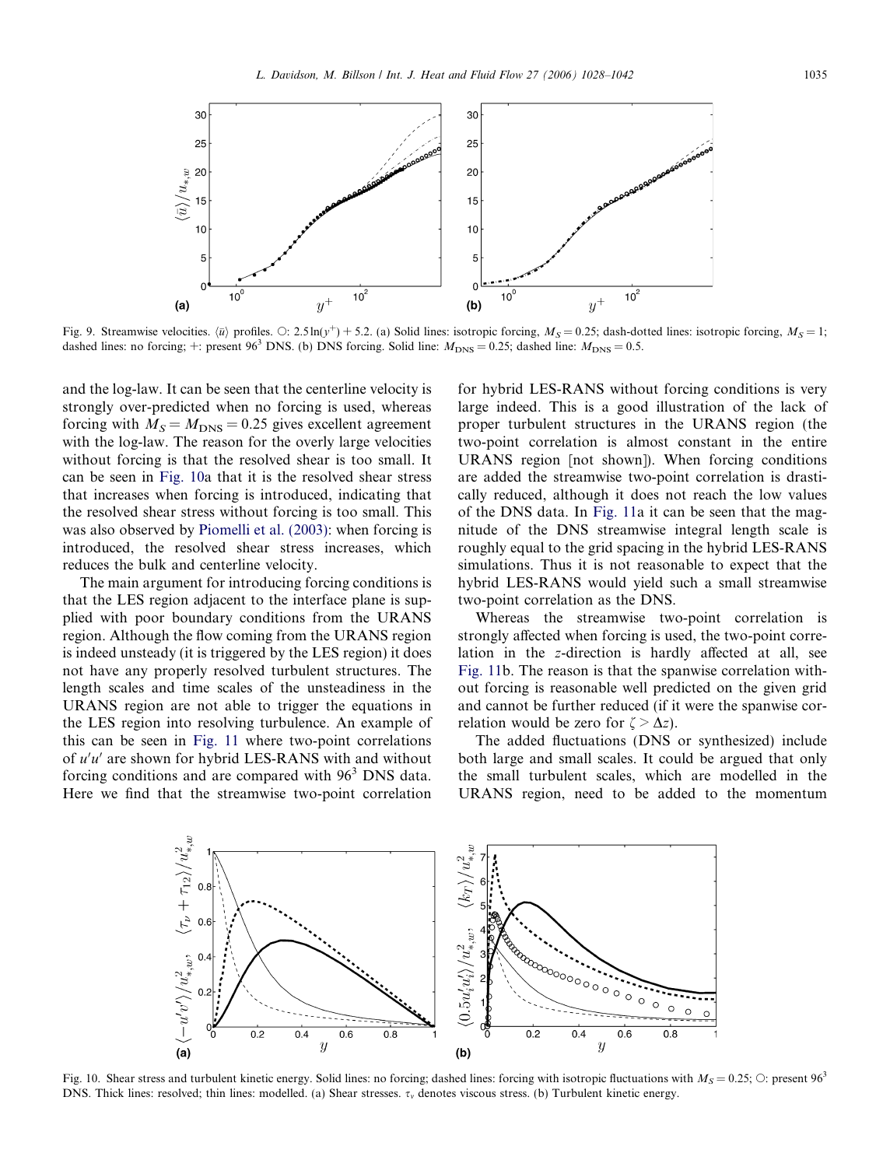<span id="page-7-0"></span>

Fig. 9. Streamwise velocities.  $\langle \bar{u} \rangle$  profiles.  $\circ$ : 2.5ln(y<sup>+</sup>) + 5.2. (a) Solid lines: isotropic forcing,  $M_s = 0.25$ ; dash-dotted lines: isotropic forcing,  $M_s = 1$ ; dashed lines: no forcing; +: present 96<sup>3</sup> DNS. (b) DNS forcing. Solid line:  $M_{\text{DNS}} = 0.25$ ; dashed line:  $M_{\text{DNS}} = 0.5$ .

and the log-law. It can be seen that the centerline velocity is strongly over-predicted when no forcing is used, whereas forcing with  $M_s = M_{\text{DNS}} = 0.25$  gives excellent agreement with the log-law. The reason for the overly large velocities without forcing is that the resolved shear is too small. It can be seen in Fig. 10a that it is the resolved shear stress that increases when forcing is introduced, indicating that the resolved shear stress without forcing is too small. This was also observed by [Piomelli et al. \(2003\)](#page-14-0): when forcing is introduced, the resolved shear stress increases, which reduces the bulk and centerline velocity.

The main argument for introducing forcing conditions is that the LES region adjacent to the interface plane is supplied with poor boundary conditions from the URANS region. Although the flow coming from the URANS region is indeed unsteady (it is triggered by the LES region) it does not have any properly resolved turbulent structures. The length scales and time scales of the unsteadiness in the URANS region are not able to trigger the equations in the LES region into resolving turbulence. An example of this can be seen in [Fig. 11](#page-8-0) where two-point correlations of  $u'u'$  are shown for hybrid LES-RANS with and without forcing conditions and are compared with  $96<sup>3</sup>$  DNS data. Here we find that the streamwise two-point correlation for hybrid LES-RANS without forcing conditions is very large indeed. This is a good illustration of the lack of proper turbulent structures in the URANS region (the two-point correlation is almost constant in the entire URANS region [not shown]). When forcing conditions are added the streamwise two-point correlation is drastically reduced, although it does not reach the low values of the DNS data. In [Fig. 11](#page-8-0)a it can be seen that the magnitude of the DNS streamwise integral length scale is roughly equal to the grid spacing in the hybrid LES-RANS simulations. Thus it is not reasonable to expect that the hybrid LES-RANS would yield such a small streamwise two-point correlation as the DNS.

Whereas the streamwise two-point correlation is strongly affected when forcing is used, the two-point correlation in the z-direction is hardly affected at all, see [Fig. 11b](#page-8-0). The reason is that the spanwise correlation without forcing is reasonable well predicted on the given grid and cannot be further reduced (if it were the spanwise correlation would be zero for  $\zeta > \Delta z$ ).

The added fluctuations (DNS or synthesized) include both large and small scales. It could be argued that only the small turbulent scales, which are modelled in the URANS region, need to be added to the momentum



Fig. 10. Shear stress and turbulent kinetic energy. Solid lines: no forcing; dashed lines: forcing with isotropic fluctuations with  $M_s = 0.25$ ;  $\odot$ : present 96<sup>3</sup> DNS. Thick lines: resolved; thin lines: modelled. (a) Shear stresses.  $\tau_{v}$  denotes viscous stress. (b) Turbulent kinetic energy.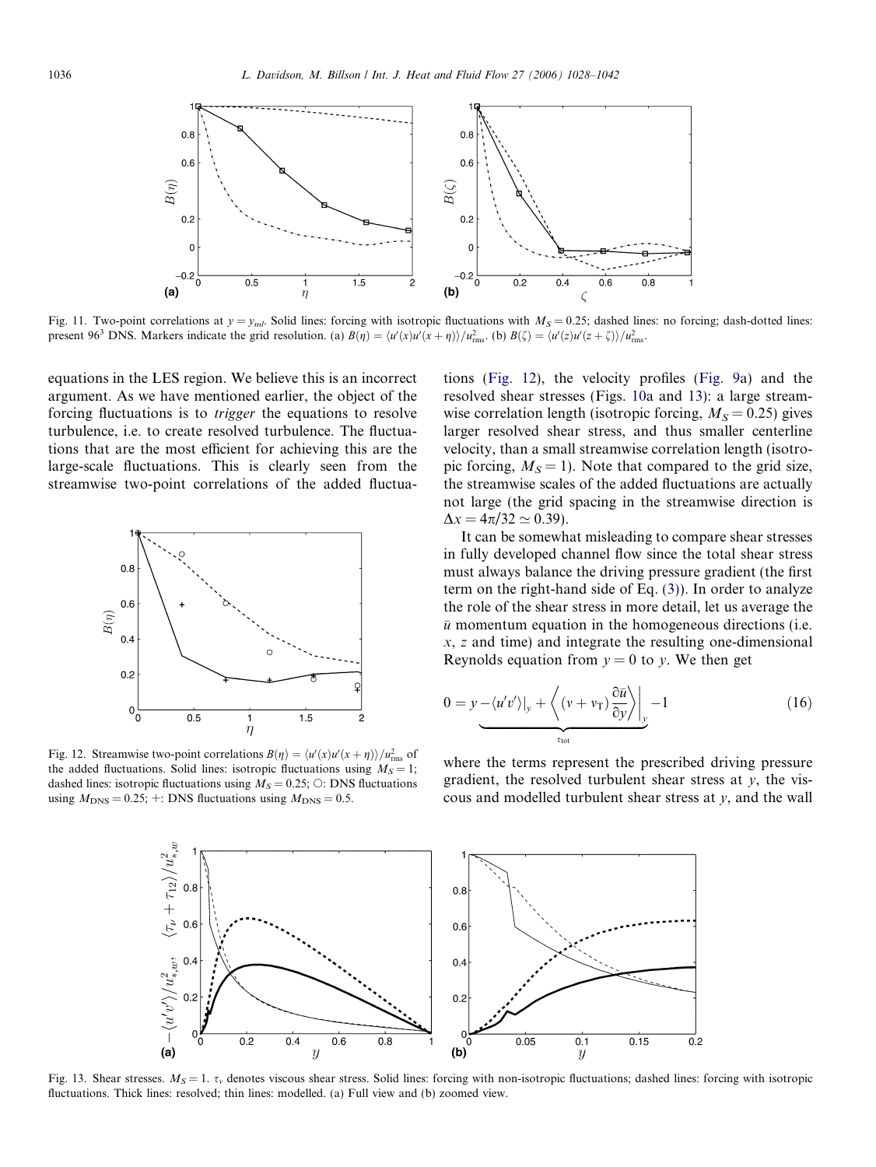<span id="page-8-0"></span>

Fig. 11. Two-point correlations at  $y = y_{ml}$ . Solid lines: forcing with isotropic fluctuations with  $M_s = 0.25$ ; dashed lines: no forcing; dash-dotted lines: present 96<sup>3</sup> DNS. Markers indicate the grid resolution. (a)  $B(\eta) = \langle u'(x)u'(x+\eta) \rangle / u_{\text{rms}}^2$ . (b)  $B(\zeta) = \langle u'(z)u'(z+\zeta) \rangle / u_{\text{rms}}^2$ .

equations in the LES region. We believe this is an incorrect argument. As we have mentioned earlier, the object of the forcing fluctuations is to trigger the equations to resolve turbulence, i.e. to create resolved turbulence. The fluctuations that are the most efficient for achieving this are the large-scale fluctuations. This is clearly seen from the streamwise two-point correlations of the added fluctua-



Fig. 12. Streamwise two-point correlations  $B(\eta) = \langle u'(x)u'(x+\eta) \rangle / u_{\text{rms}}^2$  of the added fluctuations. Solid lines: isotropic fluctuations using  $M<sub>S</sub> = 1$ ; dashed lines: isotropic fluctuations using  $M<sub>S</sub> = 0.25$ ; O: DNS fluctuations using  $M_{\text{DNS}} = 0.25$ ; +: DNS fluctuations using  $M_{\text{DNS}} = 0.5$ .

tions (Fig. 12), the velocity profiles [\(Fig. 9](#page-7-0)a) and the resolved shear stresses (Figs. [10a](#page-7-0) and 13): a large streamwise correlation length (isotropic forcing,  $M<sub>S</sub> = 0.25$ ) gives larger resolved shear stress, and thus smaller centerline velocity, than a small streamwise correlation length (isotropic forcing,  $M_s = 1$ ). Note that compared to the grid size, the streamwise scales of the added fluctuations are actually not large (the grid spacing in the streamwise direction is  $\Delta x = 4\pi/32 \simeq 0.39$ .

It can be somewhat misleading to compare shear stresses in fully developed channel flow since the total shear stress must always balance the driving pressure gradient (the first term on the right-hand side of Eq. [\(3\)](#page-3-0)). In order to analyze the role of the shear stress in more detail, let us average the  $\bar{u}$  momentum equation in the homogeneous directions (i.e.  $x$ , z and time) and integrate the resulting one-dimensional Reynolds equation from  $y = 0$  to y. We then get

$$
0 = y - \langle u'v' \rangle|_{y} + \langle (v + v_{\rm T}) \frac{\partial \bar{u}}{\partial y} \rangle \Big|_{y} - 1 \tag{16}
$$

where the terms represent the prescribed driving pressure gradient, the resolved turbulent shear stress at  $v$ , the viscous and modelled turbulent shear stress at  $v$ , and the wall



Fig. 13. Shear stresses.  $M_s = 1$ .  $\tau_v$  denotes viscous shear stress. Solid lines: forcing with non-isotropic fluctuations; dashed lines: forcing with isotropic fluctuations. Thick lines: resolved; thin lines: modelled. (a) Full view and (b) zoomed view.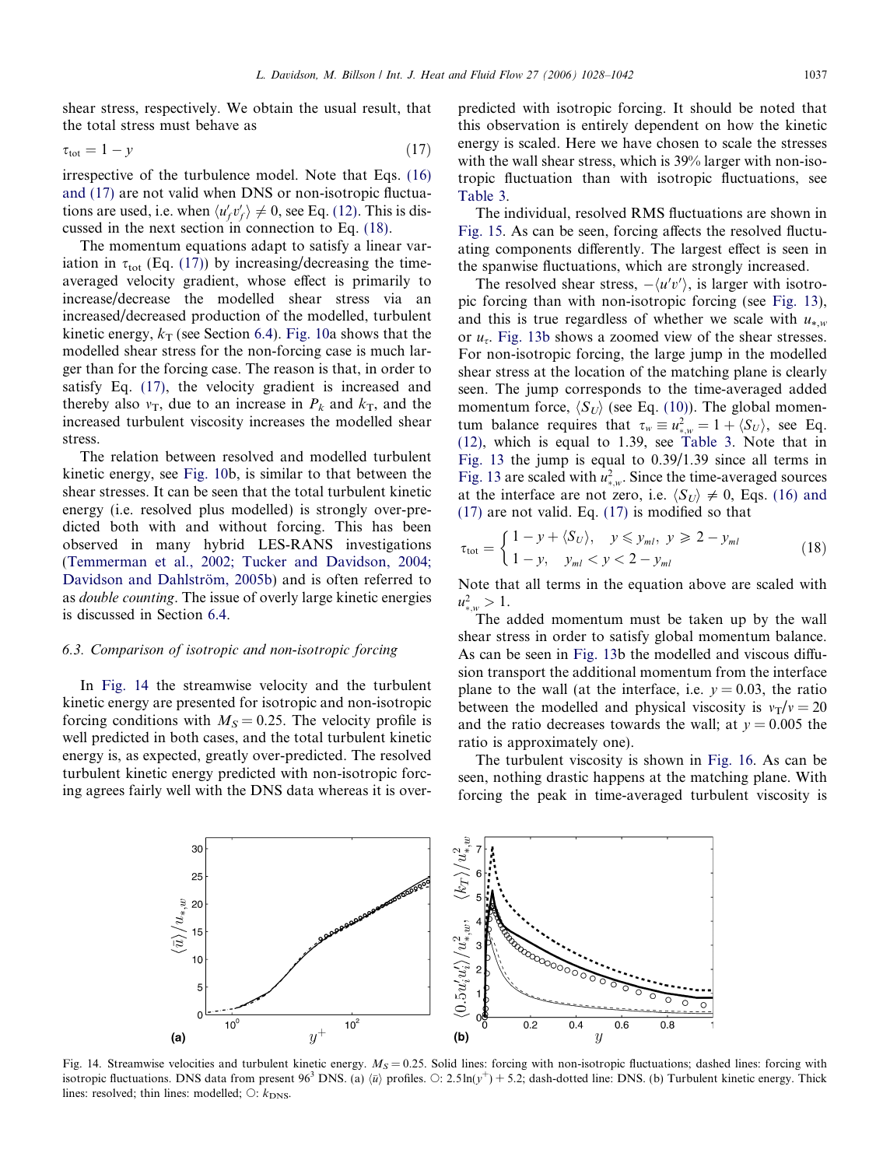<span id="page-9-0"></span>shear stress, respectively. We obtain the usual result, that the total stress must behave as

$$
\tau_{\text{tot}} = 1 - y \tag{17}
$$

irrespective of the turbulence model. Note that Eqs. [\(16\)](#page-8-0) [and \(17\)](#page-8-0) are not valid when DNS or non-isotropic fluctuations are used, i.e. when  $\langle u'_f v'_f \rangle \neq 0$ , see Eq. [\(12\)](#page-6-0). This is discussed in the next section in connection to Eq. (18).

The momentum equations adapt to satisfy a linear variation in  $\tau_{\text{tot}}$  (Eq. (17)) by increasing/decreasing the timeaveraged velocity gradient, whose effect is primarily to increase/decrease the modelled shear stress via an increased/decreased production of the modelled, turbulent kinetic energy,  $k_T$  (see Section [6.4\)](#page-11-0). [Fig. 10](#page-7-0)a shows that the modelled shear stress for the non-forcing case is much larger than for the forcing case. The reason is that, in order to satisfy Eq. (17), the velocity gradient is increased and thereby also  $v_T$ , due to an increase in  $P_k$  and  $k_T$ , and the increased turbulent viscosity increases the modelled shear stress.

The relation between resolved and modelled turbulent kinetic energy, see [Fig. 10](#page-7-0)b, is similar to that between the shear stresses. It can be seen that the total turbulent kinetic energy (i.e. resolved plus modelled) is strongly over-predicted both with and without forcing. This has been observed in many hybrid LES-RANS investigations ([Temmerman et al., 2002; Tucker and Davidson, 2004;](#page-14-0) Davidson and Dahlström, 2005b) and is often referred to as double counting. The issue of overly large kinetic energies is discussed in Section [6.4](#page-11-0).

#### 6.3. Comparison of isotropic and non-isotropic forcing

In Fig. 14 the streamwise velocity and the turbulent kinetic energy are presented for isotropic and non-isotropic forcing conditions with  $M<sub>S</sub> = 0.25$ . The velocity profile is well predicted in both cases, and the total turbulent kinetic energy is, as expected, greatly over-predicted. The resolved turbulent kinetic energy predicted with non-isotropic forcing agrees fairly well with the DNS data whereas it is overpredicted with isotropic forcing. It should be noted that this observation is entirely dependent on how the kinetic energy is scaled. Here we have chosen to scale the stresses with the wall shear stress, which is 39% larger with non-isotropic fluctuation than with isotropic fluctuations, see [Table 3](#page-5-0).

The individual, resolved RMS fluctuations are shown in [Fig. 15.](#page-10-0) As can be seen, forcing affects the resolved fluctuating components differently. The largest effect is seen in the spanwise fluctuations, which are strongly increased.

The resolved shear stress,  $-\langle u'v' \rangle$ , is larger with isotropic forcing than with non-isotropic forcing (see [Fig. 13\)](#page-8-0), and this is true regardless of whether we scale with  $u_{*,w}$ or  $u_{\tau}$ . [Fig. 13b](#page-8-0) shows a zoomed view of the shear stresses. For non-isotropic forcing, the large jump in the modelled shear stress at the location of the matching plane is clearly seen. The jump corresponds to the time-averaged added momentum force,  $\langle S_{U} \rangle$  (see Eq. [\(10\)](#page-5-0)). The global momentum balance requires that  $\tau_w \equiv u_{*,w}^2 = 1 + \langle S_U \rangle$ , see Eq. [\(12\)](#page-6-0), which is equal to 1.39, see [Table 3.](#page-5-0) Note that in [Fig. 13](#page-8-0) the jump is equal to 0.39/1.39 since all terms in [Fig. 13](#page-8-0) are scaled with  $u_{*,w}^2$ . Since the time-averaged sources at the interface are not zero, i.e.  $\langle S_U \rangle \neq 0$ , Eqs. [\(16\) and](#page-8-0) [\(17\)](#page-8-0) are not valid. Eq. (17) is modified so that

$$
\tau_{\text{tot}} = \begin{cases} 1 - y + \langle S_U \rangle, & y \le y_{ml}, y \ge 2 - y_{ml} \\ 1 - y, & y_{ml} < y < 2 - y_{ml} \end{cases}
$$
(18)

Note that all terms in the equation above are scaled with  $u_{*,w}^2 > 1$ .

The added momentum must be taken up by the wall shear stress in order to satisfy global momentum balance. As can be seen in [Fig. 13b](#page-8-0) the modelled and viscous diffusion transport the additional momentum from the interface plane to the wall (at the interface, i.e.  $y = 0.03$ , the ratio between the modelled and physical viscosity is  $v_T/v = 20$ and the ratio decreases towards the wall; at  $y = 0.005$  the ratio is approximately one).

The turbulent viscosity is shown in [Fig. 16](#page-10-0). As can be seen, nothing drastic happens at the matching plane. With forcing the peak in time-averaged turbulent viscosity is



Fig. 14. Streamwise velocities and turbulent kinetic energy.  $M_s = 0.25$ . Solid lines: forcing with non-isotropic fluctuations; dashed lines: forcing with isotropic fluctuations. DNS data from present 96<sup>3</sup> DNS. (a)  $\langle \bar{u} \rangle$  profiles.  $\circ$ : 2.5ln(y<sup>+</sup>) + 5.2; dash-dotted line: DNS. (b) Turbulent kinetic energy. Thick lines: resolved; thin lines: modelled;  $\circ$ :  $k_{\text{DNS}}$ .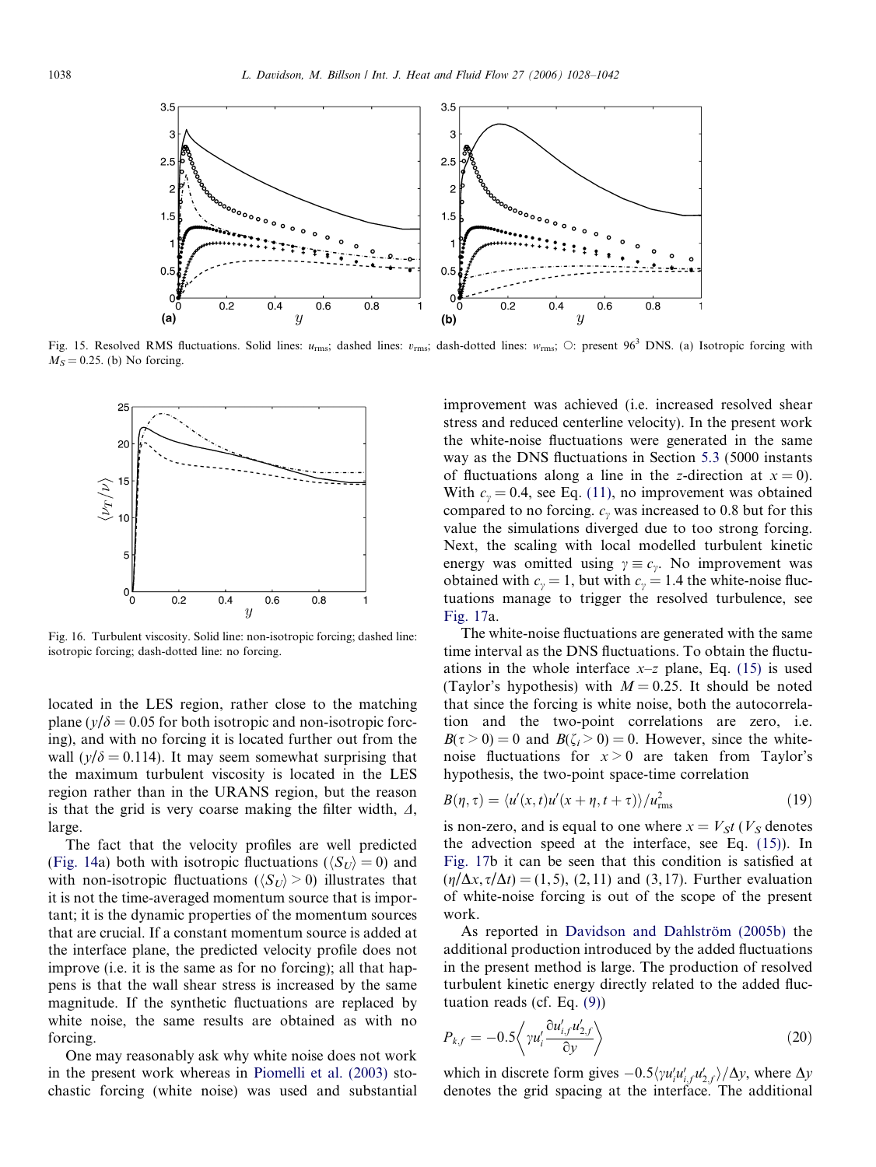<span id="page-10-0"></span>

Fig. 15. Resolved RMS fluctuations. Solid lines:  $u_{\rm rms}$ ; dashed lines:  $v_{\rm rms}$ ; dash-dotted lines:  $w_{\rm rms}$ ;  $\odot$ : present 96<sup>3</sup> DNS. (a) Isotropic forcing with  $M<sub>S</sub> = 0.25$ . (b) No forcing.



Fig. 16. Turbulent viscosity. Solid line: non-isotropic forcing; dashed line: isotropic forcing; dash-dotted line: no forcing.

located in the LES region, rather close to the matching plane ( $y/\delta = 0.05$  for both isotropic and non-isotropic forcing), and with no forcing it is located further out from the wall ( $y/\delta = 0.114$ ). It may seem somewhat surprising that the maximum turbulent viscosity is located in the LES region rather than in the URANS region, but the reason is that the grid is very coarse making the filter width,  $\Delta$ , large.

The fact that the velocity profiles are well predicted [\(Fig. 14a](#page-9-0)) both with isotropic fluctuations ( $\langle S_{U} \rangle = 0$ ) and with non-isotropic fluctuations ( $\langle S_U \rangle > 0$ ) illustrates that it is not the time-averaged momentum source that is important; it is the dynamic properties of the momentum sources that are crucial. If a constant momentum source is added at the interface plane, the predicted velocity profile does not improve (i.e. it is the same as for no forcing); all that happens is that the wall shear stress is increased by the same magnitude. If the synthetic fluctuations are replaced by white noise, the same results are obtained as with no forcing.

One may reasonably ask why white noise does not work in the present work whereas in [Piomelli et al. \(2003\)](#page-14-0) stochastic forcing (white noise) was used and substantial

improvement was achieved (i.e. increased resolved shear stress and reduced centerline velocity). In the present work the white-noise fluctuations were generated in the same way as the DNS fluctuations in Section [5.3](#page-6-0) (5000 instants of fluctuations along a line in the z-direction at  $x = 0$ . With  $c<sub>y</sub> = 0.4$ , see Eq. [\(11\),](#page-6-0) no improvement was obtained compared to no forcing.  $c<sub>y</sub>$  was increased to 0.8 but for this value the simulations diverged due to too strong forcing. Next, the scaling with local modelled turbulent kinetic energy was omitted using  $\gamma \equiv c_{\gamma}$ . No improvement was obtained with  $c<sub>v</sub> = 1$ , but with  $c<sub>v</sub> = 1.4$  the white-noise fluctuations manage to trigger the resolved turbulence, see [Fig. 17](#page-11-0)a.

The white-noise fluctuations are generated with the same time interval as the DNS fluctuations. To obtain the fluctuations in the whole interface  $x-z$  plane, Eq. [\(15\)](#page-6-0) is used (Taylor's hypothesis) with  $M = 0.25$ . It should be noted that since the forcing is white noise, both the autocorrelation and the two-point correlations are zero, i.e.  $B(\tau > 0) = 0$  and  $B(\zeta_i > 0) = 0$ . However, since the whitenoise fluctuations for  $x > 0$  are taken from Taylor's hypothesis, the two-point space-time correlation

$$
B(\eta, \tau) = \langle u'(x, t)u'(x + \eta, t + \tau) \rangle / u_{\text{rms}}^2 \tag{19}
$$

is non-zero, and is equal to one where  $x = V<sub>St</sub>$  ( $V<sub>S</sub>$  denotes the advection speed at the interface, see Eq. [\(15\)\)](#page-6-0). In [Fig. 17](#page-11-0)b it can be seen that this condition is satisfied at  $(\eta/\Delta x, \tau/\Delta t) = (1, 5), (2, 11)$  and  $(3, 17)$ . Further evaluation of white-noise forcing is out of the scope of the present work.

As reported in Davidson and Dahlström (2005b) the additional production introduced by the added fluctuations in the present method is large. The production of resolved turbulent kinetic energy directly related to the added fluctuation reads (cf. Eq. [\(9\)\)](#page-5-0)

$$
P_{k,f} = -0.5 \left\langle \gamma u_i' \frac{\partial u_{i,f}' u_{2,f}'}{\partial y} \right\rangle \tag{20}
$$

which in discrete form gives  $-0.5\langle \gamma u_i' u_{i,f}' u_{2,f}' \rangle / \Delta y$ , where  $\Delta y$ denotes the grid spacing at the interface. The additional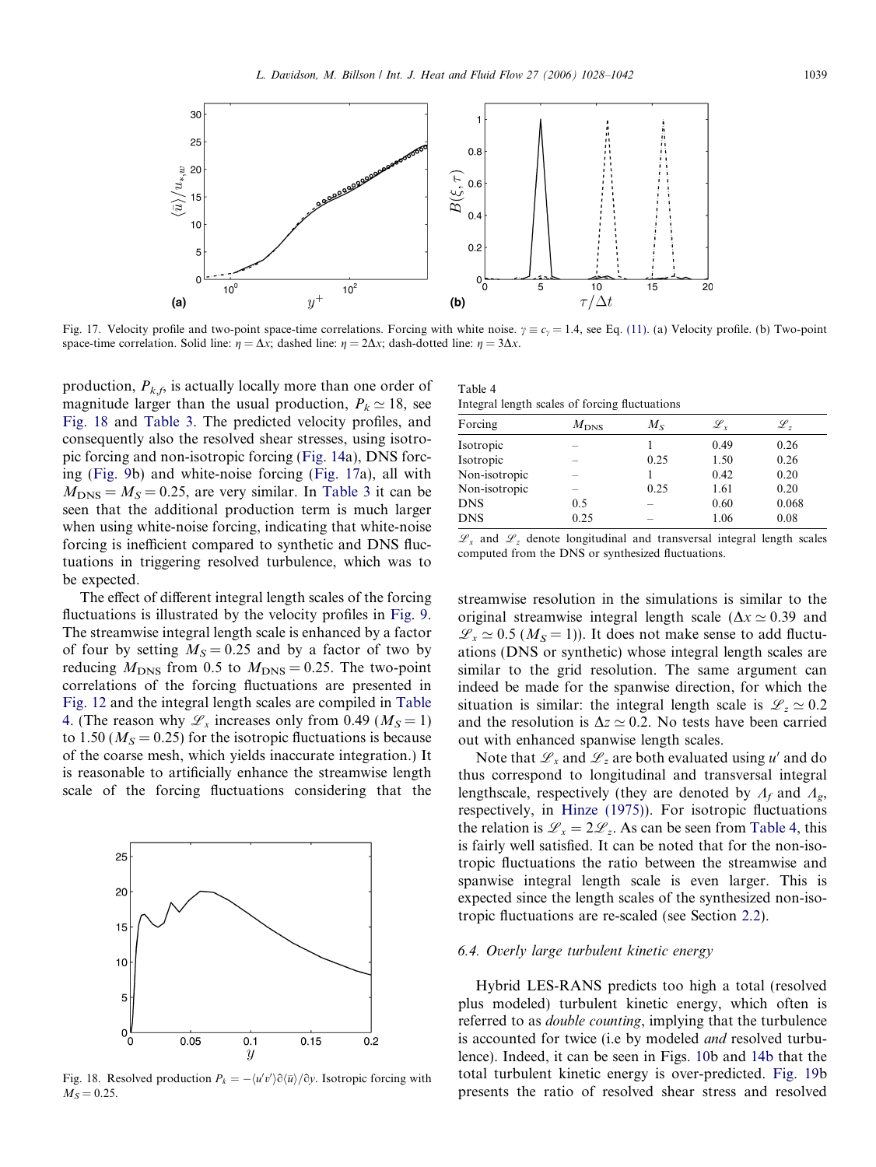<span id="page-11-0"></span>

Fig. 17. Velocity profile and two-point space-time correlations. Forcing with white noise.  $\gamma \equiv c_v = 1.4$ , see Eq. [\(11\).](#page-6-0) (a) Velocity profile. (b) Two-point space-time correlation. Solid line:  $\eta = \Delta x$ ; dashed line:  $\eta = 2\Delta x$ ; dash-dotted line:  $\eta = 3\Delta x$ .

production,  $P_{k,f}$ , is actually locally more than one order of magnitude larger than the usual production,  $P_k \approx 18$ , see Fig. 18 and [Table 3](#page-5-0). The predicted velocity profiles, and consequently also the resolved shear stresses, using isotropic forcing and non-isotropic forcing [\(Fig. 14a](#page-9-0)), DNS forcing [\(Fig. 9b](#page-7-0)) and white-noise forcing (Fig. 17a), all with  $M_{\text{DNS}} = M_S = 0.25$ , are very similar. In [Table 3](#page-5-0) it can be seen that the additional production term is much larger when using white-noise forcing, indicating that white-noise forcing is inefficient compared to synthetic and DNS fluctuations in triggering resolved turbulence, which was to be expected.

The effect of different integral length scales of the forcing fluctuations is illustrated by the velocity profiles in [Fig. 9.](#page-7-0) The streamwise integral length scale is enhanced by a factor of four by setting  $M<sub>S</sub> = 0.25$  and by a factor of two by reducing  $M_{\text{DNS}}$  from 0.5 to  $M_{\text{DNS}} = 0.25$ . The two-point correlations of the forcing fluctuations are presented in [Fig. 12](#page-8-0) and the integral length scales are compiled in Table 4. (The reason why  $\mathcal{L}_x$  increases only from 0.49 ( $M_s = 1$ ) to 1.50 ( $M<sub>S</sub> = 0.25$ ) for the isotropic fluctuations is because of the coarse mesh, which yields inaccurate integration.) It is reasonable to artificially enhance the streamwise length scale of the forcing fluctuations considering that the



Fig. 18. Resolved production  $P_k = -\langle u'v'\rangle \partial \langle \bar{u} \rangle / \partial y$ . Isotropic forcing with  $M_S = 0.25$ .

| Table 4                                        |  |  |  |
|------------------------------------------------|--|--|--|
| Integral length scales of forcing fluctuations |  |  |  |

| Forcing       | $M_{\rm DNS}$ | $M_{S}$                  | $\mathscr{L}_r$ | L,    |
|---------------|---------------|--------------------------|-----------------|-------|
| Isotropic     | -             |                          | 0.49            | 0.26  |
| Isotropic     | -             | 0.25                     | 1.50            | 0.26  |
| Non-isotropic | -             |                          | 0.42            | 0.20  |
| Non-isotropic | -             | 0.25                     | 1.61            | 0.20  |
| <b>DNS</b>    | 0.5           |                          | 0.60            | 0.068 |
| <b>DNS</b>    | 0.25          | $\overline{\phantom{a}}$ | 1.06            | 0.08  |

 $\mathscr{L}_x$  and  $\mathscr{L}_z$  denote longitudinal and transversal integral length scales computed from the DNS or synthesized fluctuations.

streamwise resolution in the simulations is similar to the original streamwise integral length scale ( $\Delta x \simeq 0.39$  and  $\mathcal{L}_x \simeq 0.5$  ( $M_s = 1$ )). It does not make sense to add fluctuations (DNS or synthetic) whose integral length scales are similar to the grid resolution. The same argument can indeed be made for the spanwise direction, for which the situation is similar: the integral length scale is  $\mathcal{L}_z \simeq 0.2$ and the resolution is  $\Delta z \simeq 0.2$ . No tests have been carried out with enhanced spanwise length scales.

Note that  $\mathcal{L}_x$  and  $\mathcal{L}_z$  are both evaluated using u' and do thus correspond to longitudinal and transversal integral lengthscale, respectively (they are denoted by  $A_f$  and  $A_g$ , respectively, in [Hinze \(1975\)](#page-14-0)). For isotropic fluctuations the relation is  $\mathcal{L}_x = 2\mathcal{L}_z$ . As can be seen from Table 4, this is fairly well satisfied. It can be noted that for the non-isotropic fluctuations the ratio between the streamwise and spanwise integral length scale is even larger. This is expected since the length scales of the synthesized non-isotropic fluctuations are re-scaled (see Section [2.2](#page-3-0)).

## 6.4. Overly large turbulent kinetic energy

Hybrid LES-RANS predicts too high a total (resolved plus modeled) turbulent kinetic energy, which often is referred to as double counting, implying that the turbulence is accounted for twice (i.e by modeled and resolved turbulence). Indeed, it can be seen in Figs. [10](#page-7-0)b and [14b](#page-9-0) that the total turbulent kinetic energy is over-predicted. [Fig. 19](#page-12-0)b presents the ratio of resolved shear stress and resolved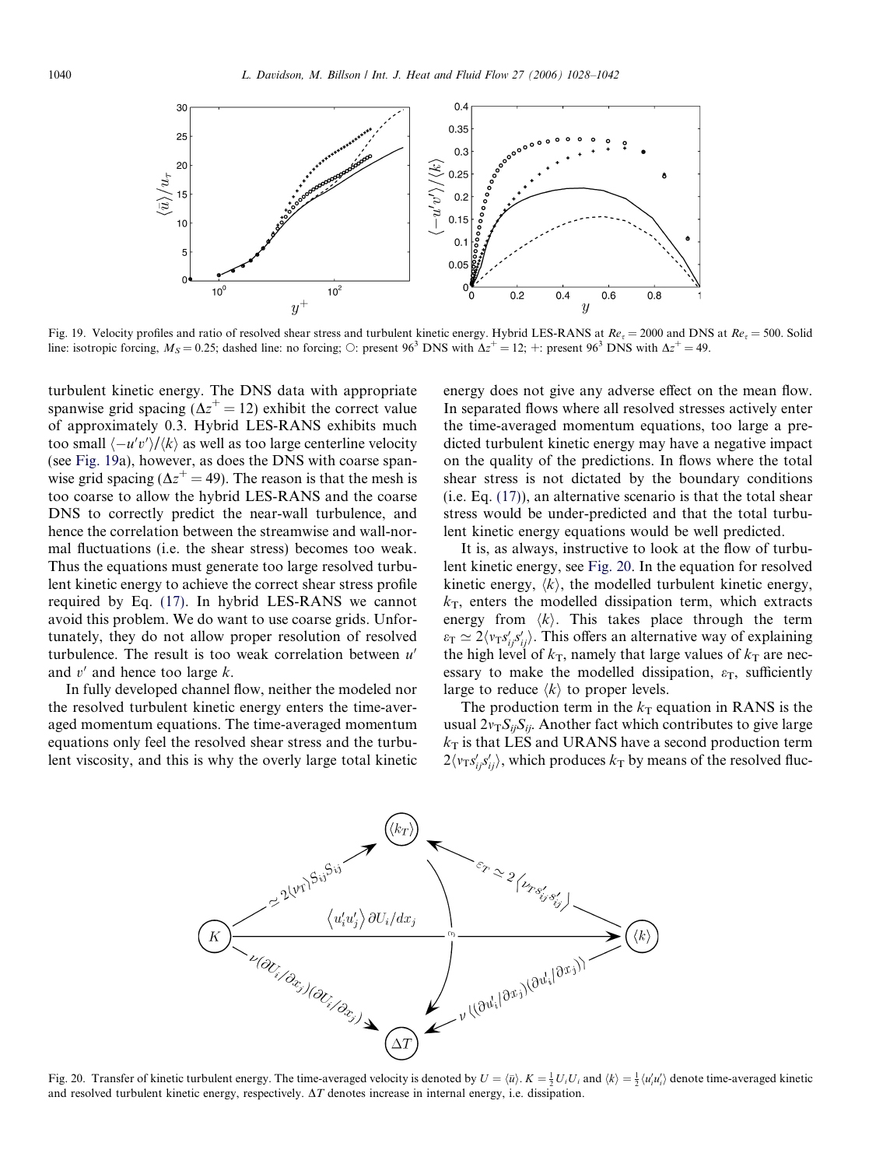<span id="page-12-0"></span>

Fig. 19. Velocity profiles and ratio of resolved shear stress and turbulent kinetic energy. Hybrid LES-RANS at  $Re<sub>\tau</sub> = 2000$  and DNS at  $Re<sub>\tau</sub> = 500$ . Solid line: isotropic forcing,  $M_S = 0.25$ ; dashed line: no forcing;  $\bigcirc$ : present  $96^3$  DNS with  $\Delta z^+ = 12$ ;  $\pm$ : present  $96^3$  DNS with  $\Delta z^+ = 49$ .

turbulent kinetic energy. The DNS data with appropriate spanwise grid spacing  $(\Delta z^+ = 12)$  exhibit the correct value of approximately 0.3. Hybrid LES-RANS exhibits much too small  $\langle -u'v'\rangle/\langle k\rangle$  as well as too large centerline velocity (see Fig. 19a), however, as does the DNS with coarse spanwise grid spacing ( $\Delta z^+$  = 49). The reason is that the mesh is too coarse to allow the hybrid LES-RANS and the coarse DNS to correctly predict the near-wall turbulence, and hence the correlation between the streamwise and wall-normal fluctuations (i.e. the shear stress) becomes too weak. Thus the equations must generate too large resolved turbulent kinetic energy to achieve the correct shear stress profile required by Eq. [\(17\).](#page-9-0) In hybrid LES-RANS we cannot avoid this problem. We do want to use coarse grids. Unfortunately, they do not allow proper resolution of resolved turbulence. The result is too weak correlation between  $u'$ and  $v'$  and hence too large k.

In fully developed channel flow, neither the modeled nor the resolved turbulent kinetic energy enters the time-averaged momentum equations. The time-averaged momentum equations only feel the resolved shear stress and the turbulent viscosity, and this is why the overly large total kinetic energy does not give any adverse effect on the mean flow. In separated flows where all resolved stresses actively enter the time-averaged momentum equations, too large a predicted turbulent kinetic energy may have a negative impact on the quality of the predictions. In flows where the total shear stress is not dictated by the boundary conditions (i.e. Eq. [\(17\)\)](#page-9-0), an alternative scenario is that the total shear stress would be under-predicted and that the total turbulent kinetic energy equations would be well predicted.

It is, as always, instructive to look at the flow of turbulent kinetic energy, see Fig. 20. In the equation for resolved kinetic energy,  $\langle k \rangle$ , the modelled turbulent kinetic energy,  $k<sub>T</sub>$ , enters the modelled dissipation term, which extracts energy from  $\langle k \rangle$ . This takes place through the term  $\varepsilon_{\rm T} \simeq 2\langle v_{\rm T} s'_{ij} s'_{ij} \rangle$ . This offers an alternative way of explaining the high level of  $k_T$ , namely that large values of  $k_T$  are necessary to make the modelled dissipation,  $\varepsilon_T$ , sufficiently large to reduce  $\langle k \rangle$  to proper levels.

The production term in the  $k<sub>T</sub>$  equation in RANS is the usual  $2v_TS_{ii}S_{ii}$ . Another fact which contributes to give large  $k<sub>T</sub>$  is that LES and URANS have a second production term  $2\langle v_T s'_{ij} s'_{ij} \rangle$ , which produces  $k_T$  by means of the resolved fluc-



Fig. 20. Transfer of kinetic turbulent energy. The time-averaged velocity is denoted by  $U = \langle \bar{u} \rangle$ .  $K = \frac{1}{2} U_i U_i$  and  $\langle k \rangle = \frac{1}{2} \langle u'_i u'_i \rangle$  denote time-averaged kinetic and resolved turbulent kinetic energy, respectively.  $\Delta T$  denotes increase in internal energy, i.e. dissipation.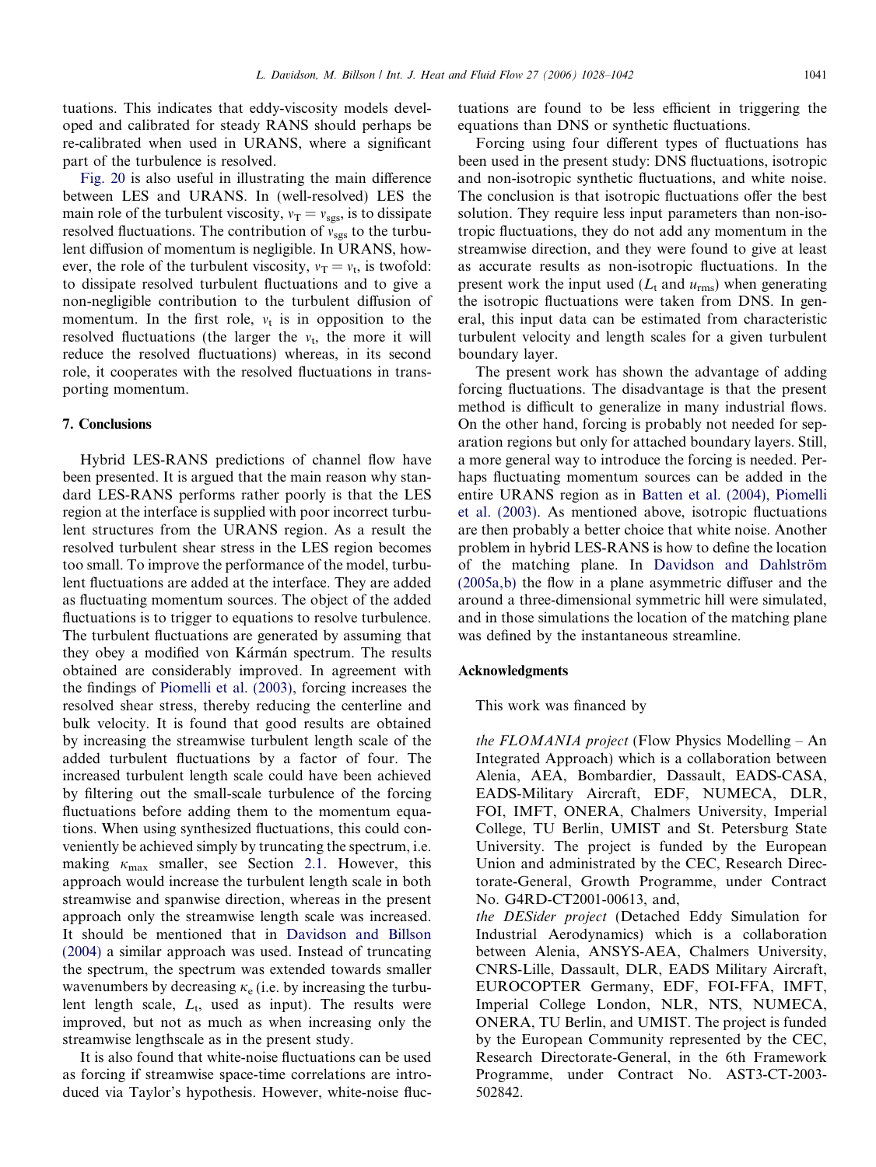tuations. This indicates that eddy-viscosity models developed and calibrated for steady RANS should perhaps be re-calibrated when used in URANS, where a significant part of the turbulence is resolved.

[Fig. 20](#page-12-0) is also useful in illustrating the main difference between LES and URANS. In (well-resolved) LES the main role of the turbulent viscosity,  $v_T = v_{sgs}$ , is to dissipate resolved fluctuations. The contribution of  $v_{\text{sgs}}$  to the turbulent diffusion of momentum is negligible. In URANS, however, the role of the turbulent viscosity,  $v_T = v_t$ , is twofold: to dissipate resolved turbulent fluctuations and to give a non-negligible contribution to the turbulent diffusion of momentum. In the first role,  $v_t$  is in opposition to the resolved fluctuations (the larger the  $v_t$ , the more it will reduce the resolved fluctuations) whereas, in its second role, it cooperates with the resolved fluctuations in transporting momentum.

# 7. Conclusions

Hybrid LES-RANS predictions of channel flow have been presented. It is argued that the main reason why standard LES-RANS performs rather poorly is that the LES region at the interface is supplied with poor incorrect turbulent structures from the URANS region. As a result the resolved turbulent shear stress in the LES region becomes too small. To improve the performance of the model, turbulent fluctuations are added at the interface. They are added as fluctuating momentum sources. The object of the added fluctuations is to trigger to equations to resolve turbulence. The turbulent fluctuations are generated by assuming that they obey a modified von Kármán spectrum. The results obtained are considerably improved. In agreement with the findings of [Piomelli et al. \(2003\),](#page-14-0) forcing increases the resolved shear stress, thereby reducing the centerline and bulk velocity. It is found that good results are obtained by increasing the streamwise turbulent length scale of the added turbulent fluctuations by a factor of four. The increased turbulent length scale could have been achieved by filtering out the small-scale turbulence of the forcing fluctuations before adding them to the momentum equations. When using synthesized fluctuations, this could conveniently be achieved simply by truncating the spectrum, i.e. making  $\kappa_{\text{max}}$  smaller, see Section [2.1.](#page-2-0) However, this approach would increase the turbulent length scale in both streamwise and spanwise direction, whereas in the present approach only the streamwise length scale was increased. It should be mentioned that in [Davidson and Billson](#page-14-0) [\(2004\)](#page-14-0) a similar approach was used. Instead of truncating the spectrum, the spectrum was extended towards smaller wavenumbers by decreasing  $\kappa_e$  (i.e. by increasing the turbulent length scale,  $L_t$ , used as input). The results were improved, but not as much as when increasing only the streamwise lengthscale as in the present study.

It is also found that white-noise fluctuations can be used as forcing if streamwise space-time correlations are introduced via Taylor's hypothesis. However, white-noise fluctuations are found to be less efficient in triggering the equations than DNS or synthetic fluctuations.

Forcing using four different types of fluctuations has been used in the present study: DNS fluctuations, isotropic and non-isotropic synthetic fluctuations, and white noise. The conclusion is that isotropic fluctuations offer the best solution. They require less input parameters than non-isotropic fluctuations, they do not add any momentum in the streamwise direction, and they were found to give at least as accurate results as non-isotropic fluctuations. In the present work the input used  $(L_t$  and  $u_{\text{rms}})$  when generating the isotropic fluctuations were taken from DNS. In general, this input data can be estimated from characteristic turbulent velocity and length scales for a given turbulent boundary layer.

The present work has shown the advantage of adding forcing fluctuations. The disadvantage is that the present method is difficult to generalize in many industrial flows. On the other hand, forcing is probably not needed for separation regions but only for attached boundary layers. Still, a more general way to introduce the forcing is needed. Perhaps fluctuating momentum sources can be added in the entire URANS region as in [Batten et al. \(2004\), Piomelli](#page-14-0) [et al. \(2003\)](#page-14-0). As mentioned above, isotropic fluctuations are then probably a better choice that white noise. Another problem in hybrid LES-RANS is how to define the location of the matching plane. In Davidson and Dahlström [\(2005a,b\)](#page-14-0) the flow in a plane asymmetric diffuser and the around a three-dimensional symmetric hill were simulated, and in those simulations the location of the matching plane was defined by the instantaneous streamline.

# Acknowledgments

This work was financed by

the FLOMANIA project (Flow Physics Modelling – An Integrated Approach) which is a collaboration between Alenia, AEA, Bombardier, Dassault, EADS-CASA, EADS-Military Aircraft, EDF, NUMECA, DLR, FOI, IMFT, ONERA, Chalmers University, Imperial College, TU Berlin, UMIST and St. Petersburg State University. The project is funded by the European Union and administrated by the CEC, Research Directorate-General, Growth Programme, under Contract No. G4RD-CT2001-00613, and,

the DESider project (Detached Eddy Simulation for Industrial Aerodynamics) which is a collaboration between Alenia, ANSYS-AEA, Chalmers University, CNRS-Lille, Dassault, DLR, EADS Military Aircraft, EUROCOPTER Germany, EDF, FOI-FFA, IMFT, Imperial College London, NLR, NTS, NUMECA, ONERA, TU Berlin, and UMIST. The project is funded by the European Community represented by the CEC, Research Directorate-General, in the 6th Framework Programme, under Contract No. AST3-CT-2003- 502842.